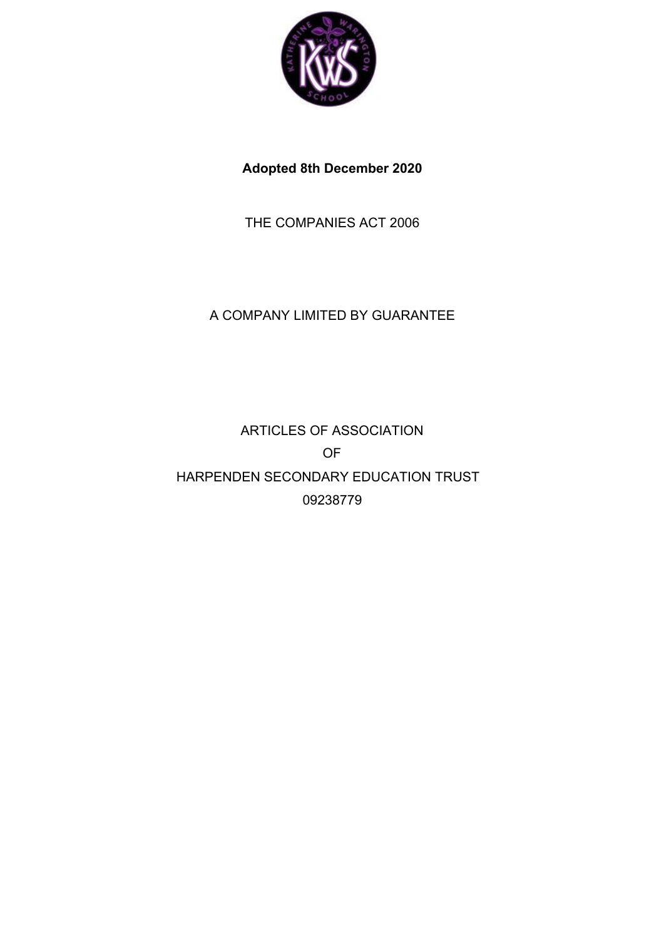

**Adopted 8th December 2020**

THE COMPANIES ACT 2006

# A COMPANY LIMITED BY GUARANTEE

ARTICLES OF ASSOCIATION OF HARPENDEN SECONDARY EDUCATION TRUST 09238779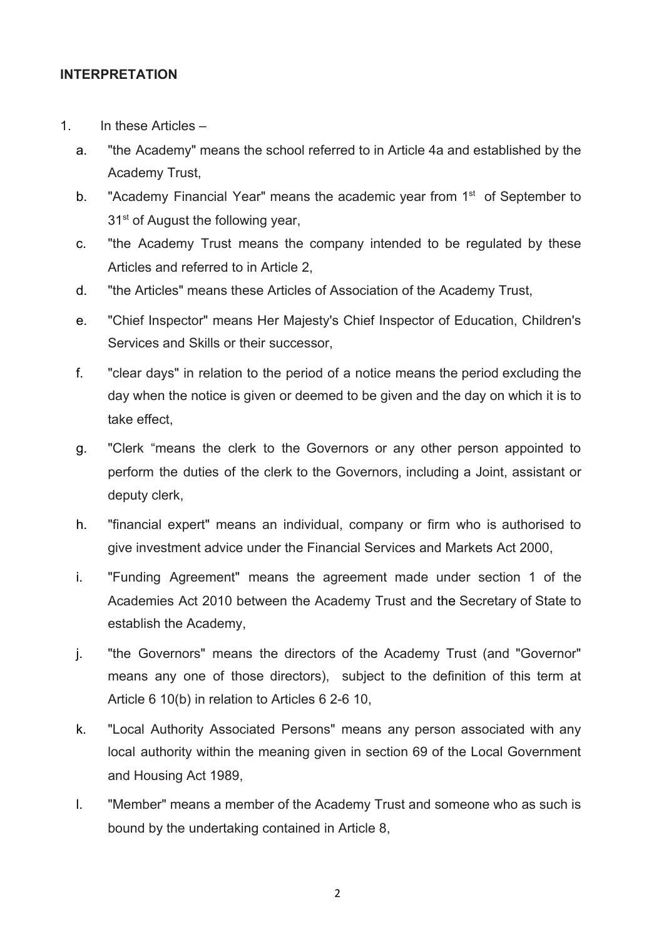## **INTERPRETATION**

- 1. In these Articles
	- a. "the Academy" means the school referred to in Article 4a and established by the Academy Trust,
	- b. "Academy Financial Year" means the academic year from 1<sup>st</sup> of September to 31<sup>st</sup> of August the following year,
	- c. "the Academy Trust means the company intended to be regulated by these Articles and referred to in Article 2,
	- d. "the Articles" means these Articles of Association of the Academy Trust,
	- e. "Chief Inspector" means Her Majesty's Chief Inspector of Education, Children's Services and Skills or their successor,
	- f. "clear days" in relation to the period of a notice means the period excluding the day when the notice is given or deemed to be given and the day on which it is to take effect,
	- g. "Clerk "means the clerk to the Governors or any other person appointed to perform the duties of the clerk to the Governors, including a Joint, assistant or deputy clerk,
	- h. "financial expert" means an individual, company or firm who is authorised to give investment advice under the Financial Services and Markets Act 2000,
	- i. "Funding Agreement" means the agreement made under section 1 of the Academies Act 2010 between the Academy Trust and the Secretary of State to establish the Academy,
	- j. "the Governors" means the directors of the Academy Trust (and "Governor" means any one of those directors), subject to the definition of this term at Article 6 10(b) in relation to Articles 6 2-6 10,
	- k. "Local Authority Associated Persons" means any person associated with any local authority within the meaning given in section 69 of the Local Government and Housing Act 1989,
	- l. "Member" means a member of the Academy Trust and someone who as such is bound by the undertaking contained in Article 8,
		- 2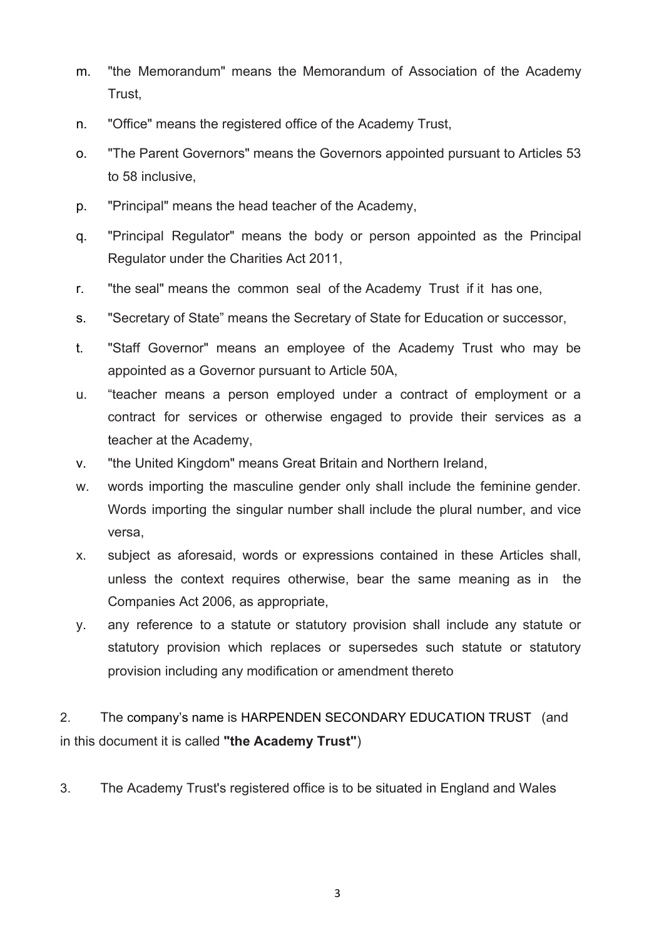- m. "the Memorandum" means the Memorandum of Association of the Academy Trust,
- n. "Office" means the registered office of the Academy Trust,
- o. "The Parent Governors" means the Governors appointed pursuant to Articles 53 to 58 inclusive,
- p. "Principal" means the head teacher of the Academy,
- q. "Principal Regulator" means the body or person appointed as the Principal Regulator under the Charities Act 2011,
- r. "the seal" means the common seal of the Academy Trust if it has one,
- s. "Secretary of State" means the Secretary of State for Education or successor,
- t. "Staff Governor" means an employee of the Academy Trust who may be appointed as a Governor pursuant to Article 50A,
- u. "teacher means a person employed under a contract of employment or a contract for services or otherwise engaged to provide their services as a teacher at the Academy,
- v. "the United Kingdom" means Great Britain and Northern Ireland,
- w. words importing the masculine gender only shall include the feminine gender. Words importing the singular number shall include the plural number, and vice versa,
- x. subject as aforesaid, words or expressions contained in these Articles shall, unless the context requires otherwise, bear the same meaning as in the Companies Act 2006, as appropriate,
- y. any reference to a statute or statutory provision shall include any statute or statutory provision which replaces or supersedes such statute or statutory provision including any modification or amendment thereto

2. The company's name is HARPENDEN SECONDARY EDUCATION TRUST (and in this document it is called **"the Academy Trust"**)

3. The Academy Trust's registered office is to be situated in England and Wales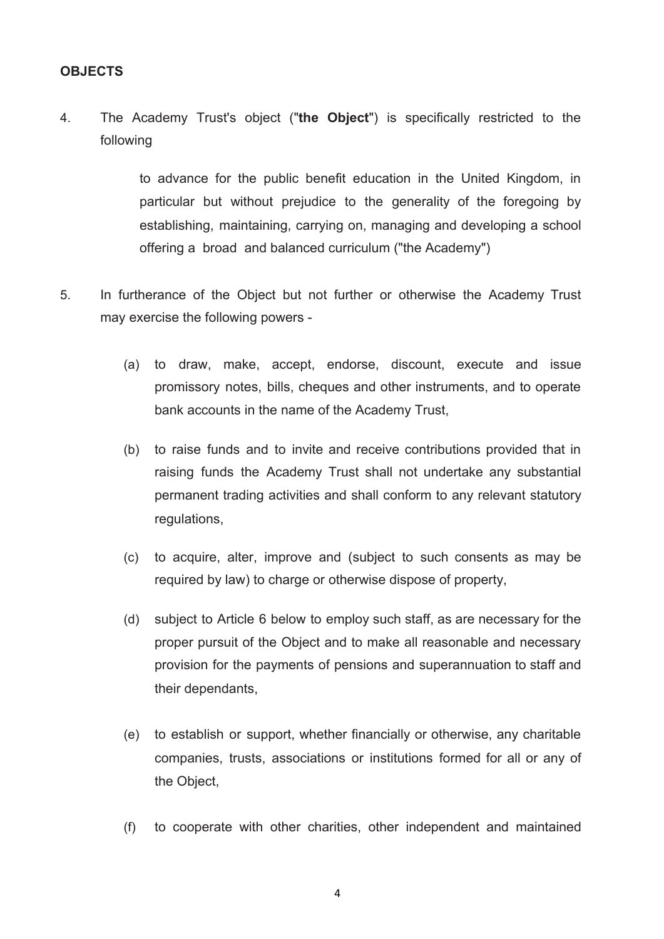## **OBJECTS**

4. The Academy Trust's object ("**the Object**") is specifically restricted to the following

> to advance for the public benefit education in the United Kingdom, in particular but without prejudice to the generality of the foregoing by establishing, maintaining, carrying on, managing and developing a school offering a broad and balanced curriculum ("the Academy")

- 5. In furtherance of the Object but not further or otherwise the Academy Trust may exercise the following powers -
	- (a) to draw, make, accept, endorse, discount, execute and issue promissory notes, bills, cheques and other instruments, and to operate bank accounts in the name of the Academy Trust,
	- (b) to raise funds and to invite and receive contributions provided that in raising funds the Academy Trust shall not undertake any substantial permanent trading activities and shall conform to any relevant statutory regulations,
	- (c) to acquire, alter, improve and (subject to such consents as may be required by law) to charge or otherwise dispose of property,
	- (d) subject to Article 6 below to employ such staff, as are necessary for the proper pursuit of the Object and to make all reasonable and necessary provision for the payments of pensions and superannuation to staff and their dependants,
	- (e) to establish or support, whether financially or otherwise, any charitable companies, trusts, associations or institutions formed for all or any of the Object,
	- (f) to cooperate with other charities, other independent and maintained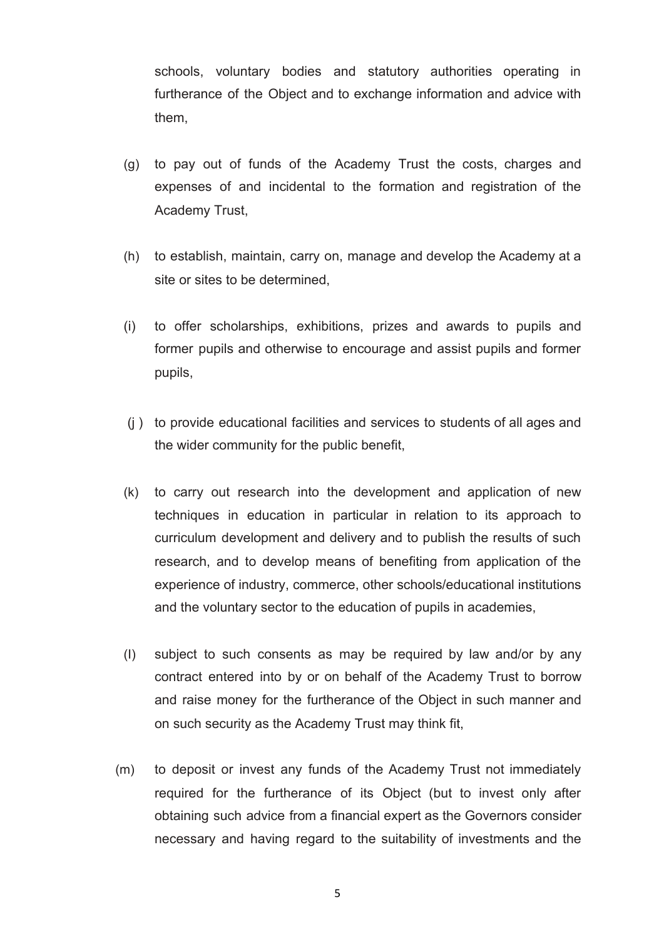schools, voluntary bodies and statutory authorities operating in furtherance of the Object and to exchange information and advice with them,

- (g) to pay out of funds of the Academy Trust the costs, charges and expenses of and incidental to the formation and registration of the Academy Trust,
- (h) to establish, maintain, carry on, manage and develop the Academy at a site or sites to be determined,
- (i) to offer scholarships, exhibitions, prizes and awards to pupils and former pupils and otherwise to encourage and assist pupils and former pupils,
- (j ) to provide educational facilities and services to students of all ages and the wider community for the public benefit,
- (k) to carry out research into the development and application of new techniques in education in particular in relation to its approach to curriculum development and delivery and to publish the results of such research, and to develop means of benefiting from application of the experience of industry, commerce, other schools/educational institutions and the voluntary sector to the education of pupils in academies,
- (I) subject to such consents as may be required by law and/or by any contract entered into by or on behalf of the Academy Trust to borrow and raise money for the furtherance of the Object in such manner and on such security as the Academy Trust may think fit,
- (m) to deposit or invest any funds of the Academy Trust not immediately required for the furtherance of its Object (but to invest only after obtaining such advice from a financial expert as the Governors consider necessary and having regard to the suitability of investments and the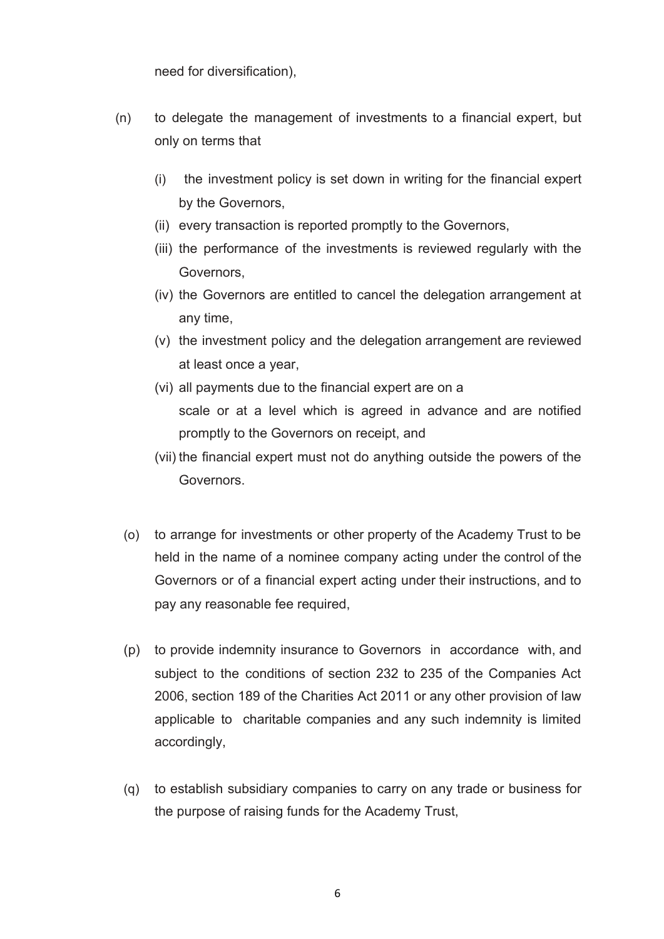need for diversification),

- (n) to delegate the management of investments to a financial expert, but only on terms that
	- (i) the investment policy is set down in writing for the financial expert by the Governors,
	- (ii) every transaction is reported promptly to the Governors,
	- (iii) the performance of the investments is reviewed regularly with the Governors,
	- (iv) the Governors are entitled to cancel the delegation arrangement at any time,
	- (v) the investment policy and the delegation arrangement are reviewed at least once a year,
	- (vi) all payments due to the financial expert are on a scale or at a level which is agreed in advance and are notified promptly to the Governors on receipt, and
	- (vii) the financial expert must not do anything outside the powers of the Governors.
	- (o) to arrange for investments or other property of the Academy Trust to be held in the name of a nominee company acting under the control of the Governors or of a financial expert acting under their instructions, and to pay any reasonable fee required,
	- (p) to provide indemnity insurance to Governors in accordance with, and subject to the conditions of section 232 to 235 of the Companies Act 2006, section 189 of the Charities Act 2011 or any other provision of law applicable to charitable companies and any such indemnity is limited accordingly,
	- (q) to establish subsidiary companies to carry on any trade or business for the purpose of raising funds for the Academy Trust,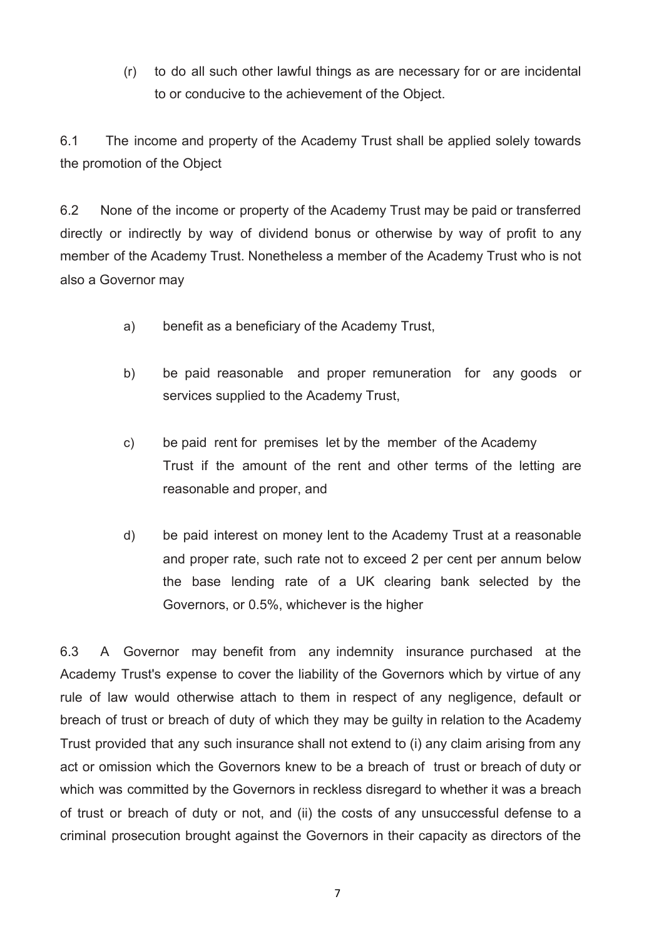(r) to do all such other lawful things as are necessary for or are incidental to or conducive to the achievement of the Object.

6.1 The income and property of the Academy Trust shall be applied solely towards the promotion of the Object

6.2 None of the income or property of the Academy Trust may be paid or transferred directly or indirectly by way of dividend bonus or otherwise by way of profit to any member of the Academy Trust. Nonetheless a member of the Academy Trust who is not also a Governor may

- a) benefit as a beneficiary of the Academy Trust,
- b) be paid reasonable and proper remuneration for any goods or services supplied to the Academy Trust,
- c) be paid rent for premises let by the member of the Academy Trust if the amount of the rent and other terms of the letting are reasonable and proper, and
- d) be paid interest on money lent to the Academy Trust at a reasonable and proper rate, such rate not to exceed 2 per cent per annum below the base lending rate of a UK clearing bank selected by the Governors, or 0.5%, whichever is the higher

6.3 A Governor may benefit from any indemnity insurance purchased at the Academy Trust's expense to cover the liability of the Governors which by virtue of any rule of law would otherwise attach to them in respect of any negligence, default or breach of trust or breach of duty of which they may be guilty in relation to the Academy Trust provided that any such insurance shall not extend to (i) any claim arising from any act or omission which the Governors knew to be a breach of trust or breach of duty or which was committed by the Governors in reckless disregard to whether it was a breach of trust or breach of duty or not, and (ii) the costs of any unsuccessful defense to a criminal prosecution brought against the Governors in their capacity as directors of the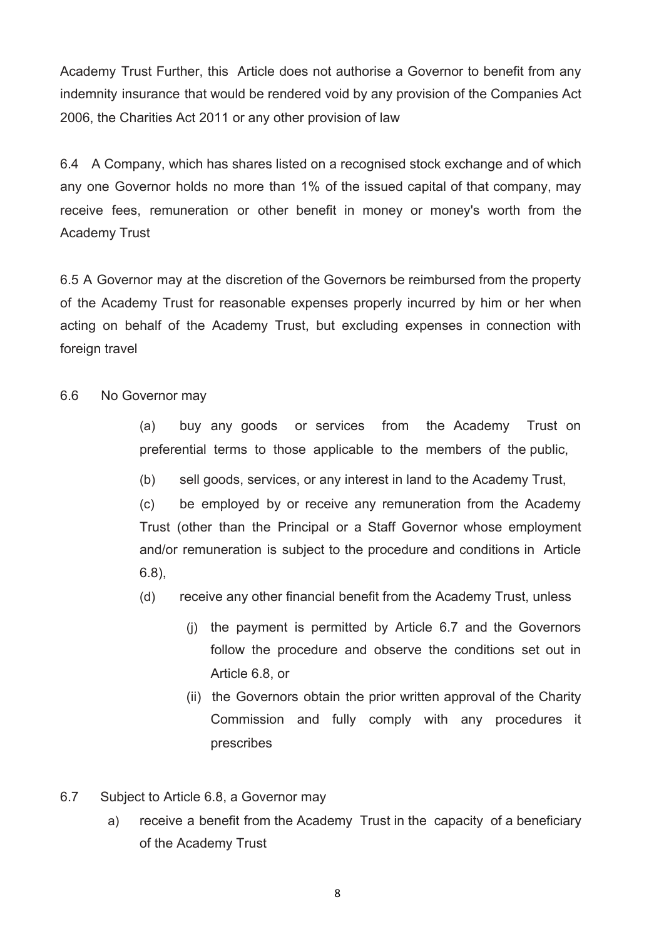Academy Trust Further, this Article does not authorise a Governor to benefit from any indemnity insurance that would be rendered void by any provision of the Companies Act 2006, the Charities Act 2011 or any other provision of law

6.4 A Company, which has shares listed on a recognised stock exchange and of which any one Governor holds no more than 1% of the issued capital of that company, may receive fees, remuneration or other benefit in money or money's worth from the Academy Trust

6.5 A Governor may at the discretion of the Governors be reimbursed from the property of the Academy Trust for reasonable expenses properly incurred by him or her when acting on behalf of the Academy Trust, but excluding expenses in connection with foreign travel

6.6 No Governor may

(a) buy any goods or services from the Academy Trust on preferential terms to those applicable to the members of the public,

(b) sell goods, services, or any interest in land to the Academy Trust,

(c) be employed by or receive any remuneration from the Academy Trust (other than the Principal or a Staff Governor whose employment and/or remuneration is subject to the procedure and conditions in Article 6.8),

- (d) receive any other financial benefit from the Academy Trust, unless
	- (j) the payment is permitted by Article 6.7 and the Governors follow the procedure and observe the conditions set out in Article 6.8, or
	- (ii) the Governors obtain the prior written approval of the Charity Commission and fully comply with any procedures it prescribes
- 6.7 Subject to Article 6.8, a Governor may
	- a) receive a benefit from the Academy Trust in the capacity of a beneficiary of the Academy Trust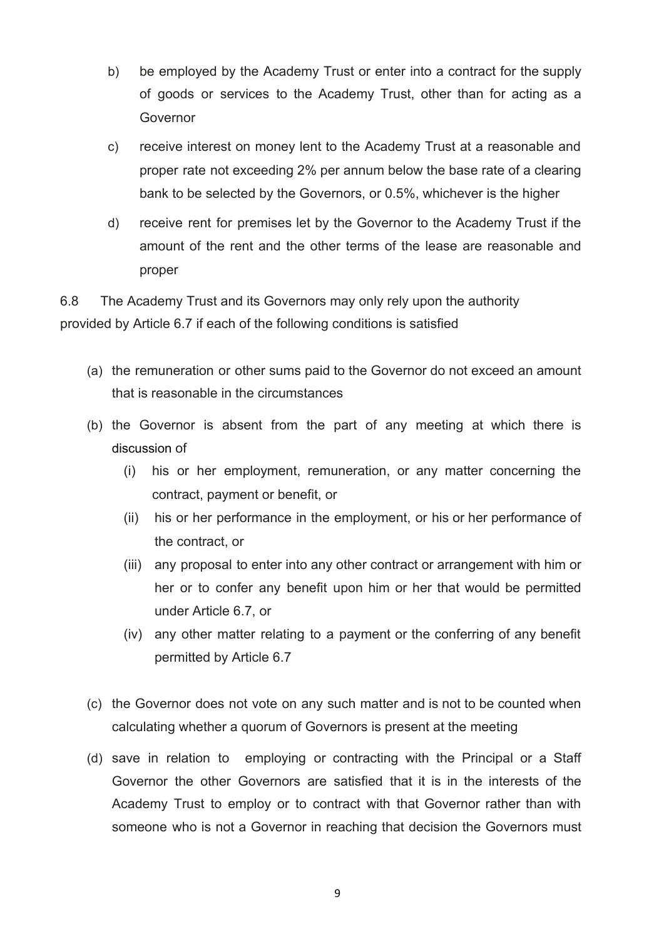- b) be employed by the Academy Trust or enter into a contract for the supply of goods or services to the Academy Trust, other than for acting as a Governor
- c) receive interest on money lent to the Academy Trust at a reasonable and proper rate not exceeding 2% per annum below the base rate of a clearing bank to be selected by the Governors, or 0.5%, whichever is the higher
- d) receive rent for premises let by the Governor to the Academy Trust if the amount of the rent and the other terms of the lease are reasonable and proper

6.8 The Academy Trust and its Governors may only rely upon the authority provided by Article 6.7 if each of the following conditions is satisfied

- (a) the remuneration or other sums paid to the Governor do not exceed an amount that is reasonable in the circumstances
- (b) the Governor is absent from the part of any meeting at which there is discussion of
	- (i) his or her employment, remuneration, or any matter concerning the contract, payment or benefit, or
	- (ii) his or her performance in the employment, or his or her performance of the contract, or
	- (iii) any proposal to enter into any other contract or arrangement with him or her or to confer any benefit upon him or her that would be permitted under Article 6.7, or
	- (iv) any other matter relating to a payment or the conferring of any benefit permitted by Article 6.7
- (c) the Governor does not vote on any such matter and is not to be counted when calculating whether a quorum of Governors is present at the meeting
- (d) save in relation to employing or contracting with the Principal or a Staff Governor the other Governors are satisfied that it is in the interests of the Academy Trust to employ or to contract with that Governor rather than with someone who is not a Governor in reaching that decision the Governors must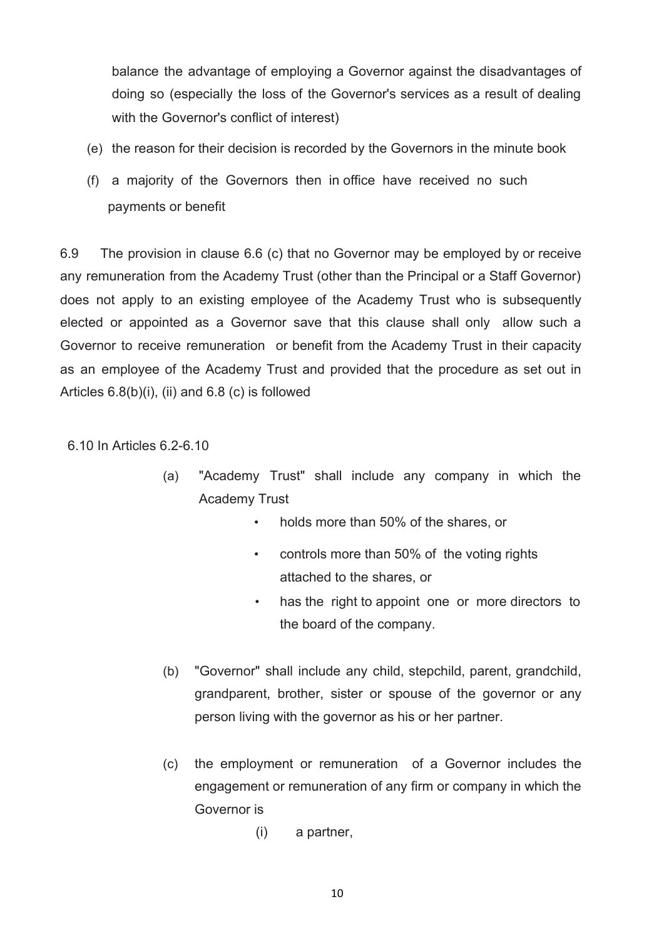balance the advantage of employing a Governor against the disadvantages of doing so (especially the loss of the Governor's services as a result of dealing with the Governor's conflict of interest)

- (e) the reason for their decision is recorded by the Governors in the minute book
- (f) a majority of the Governors then in office have received no such payments or benefit

6.9 The provision in clause 6.6 (c) that no Governor may be employed by or receive any remuneration from the Academy Trust (other than the Principal or a Staff Governor) does not apply to an existing employee of the Academy Trust who is subsequently elected or appointed as a Governor save that this clause shall only allow such a Governor to receive remuneration or benefit from the Academy Trust in their capacity as an employee of the Academy Trust and provided that the procedure as set out in Articles 6.8(b)(i), (ii) and 6.8 (c) is followed

6.10 In Articles 6.2-6.10

- (a) "Academy Trust" shall include any company in which the Academy Trust
	- holds more than 50% of the shares, or
	- controls more than 50% of the voting rights attached to the shares, or
	- has the right to appoint one or more directors to the board of the company.
- (b) "Governor" shall include any child, stepchild, parent, grandchild, grandparent, brother, sister or spouse of the governor or any person living with the governor as his or her partner.
- (c) the employment or remuneration of a Governor includes the engagement or remuneration of any firm or company in which the Governor is
	- (i) a partner,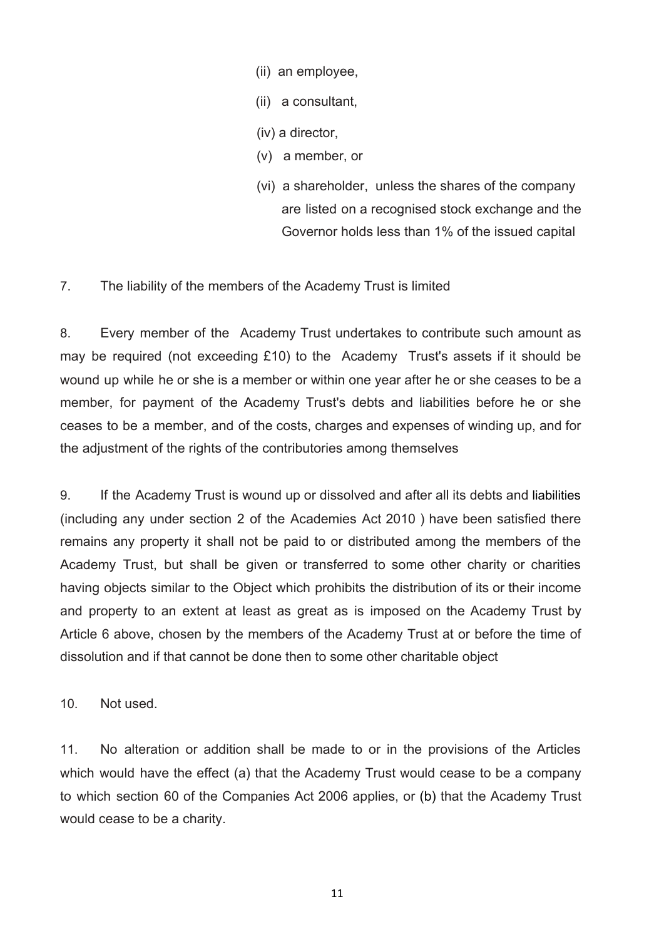- (ii) an employee,
- (ii) a consultant,
- (iv) a director,
- (v) a member, or
- (vi) a shareholder, unless the shares of the company are listed on a recognised stock exchange and the Governor holds less than 1% of the issued capital
- 7. The liability of the members of the Academy Trust is limited

8. Every member of the Academy Trust undertakes to contribute such amount as may be required (not exceeding £10) to the Academy Trust's assets if it should be wound up while he or she is a member or within one year after he or she ceases to be a member, for payment of the Academy Trust's debts and liabilities before he or she ceases to be a member, and of the costs, charges and expenses of winding up, and for the adjustment of the rights of the contributories among themselves

9. If the Academy Trust is wound up or dissolved and after all its debts and liabilities (including any under section 2 of the Academies Act 2010 ) have been satisfied there remains any property it shall not be paid to or distributed among the members of the Academy Trust, but shall be given or transferred to some other charity or charities having objects similar to the Object which prohibits the distribution of its or their income and property to an extent at least as great as is imposed on the Academy Trust by Article 6 above, chosen by the members of the Academy Trust at or before the time of dissolution and if that cannot be done then to some other charitable object

10. Not used.

11. No alteration or addition shall be made to or in the provisions of the Articles which would have the effect (a) that the Academy Trust would cease to be a company to which section 60 of the Companies Act 2006 applies, or (b) that the Academy Trust would cease to be a charity.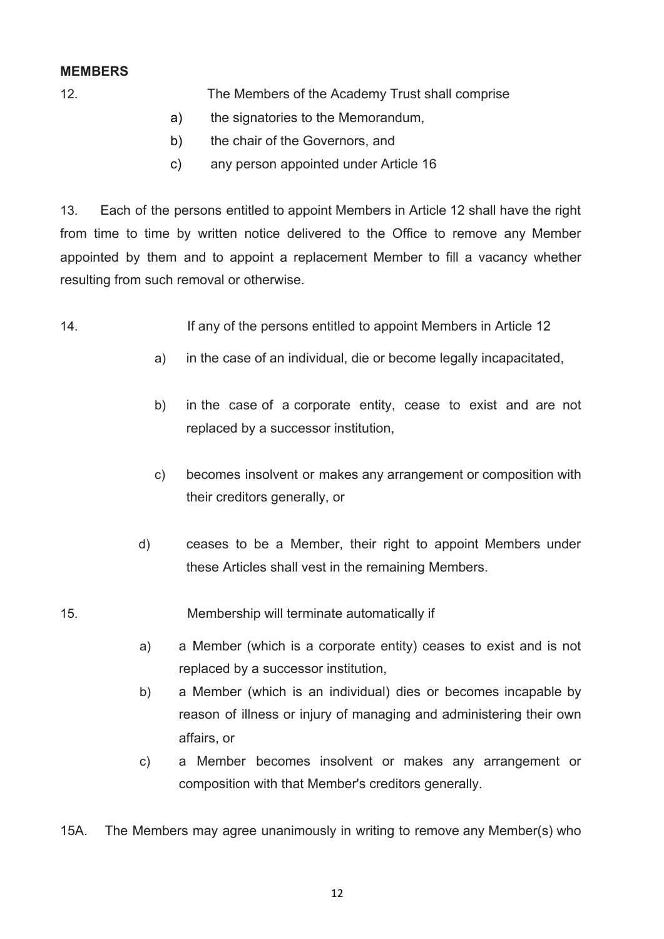## **MEMBERS**

- 12. The Members of the Academy Trust shall comprise
	- a) the signatories to the Memorandum,
	- b) the chair of the Governors, and
	- c) any person appointed under Article 16

13. Each of the persons entitled to appoint Members in Article 12 shall have the right from time to time by written notice delivered to the Office to remove any Member appointed by them and to appoint a replacement Member to fill a vacancy whether resulting from such removal or otherwise.

- 14. If any of the persons entitled to appoint Members in Article 12
	- a) in the case of an individual, die or become legally incapacitated,
	- b) in the case of a corporate entity, cease to exist and are not replaced by a successor institution,
	- c) becomes insolvent or makes any arrangement or composition with their creditors generally, or
	- d) ceases to be a Member, their right to appoint Members under these Articles shall vest in the remaining Members.

15. Membership will terminate automatically if

- a) a Member (which is a corporate entity) ceases to exist and is not replaced by a successor institution,
- b) a Member (which is an individual) dies or becomes incapable by reason of illness or injury of managing and administering their own affairs, or
- c) a Member becomes insolvent or makes any arrangement or composition with that Member's creditors generally.
- 15A. The Members may agree unanimously in writing to remove any Member(s) who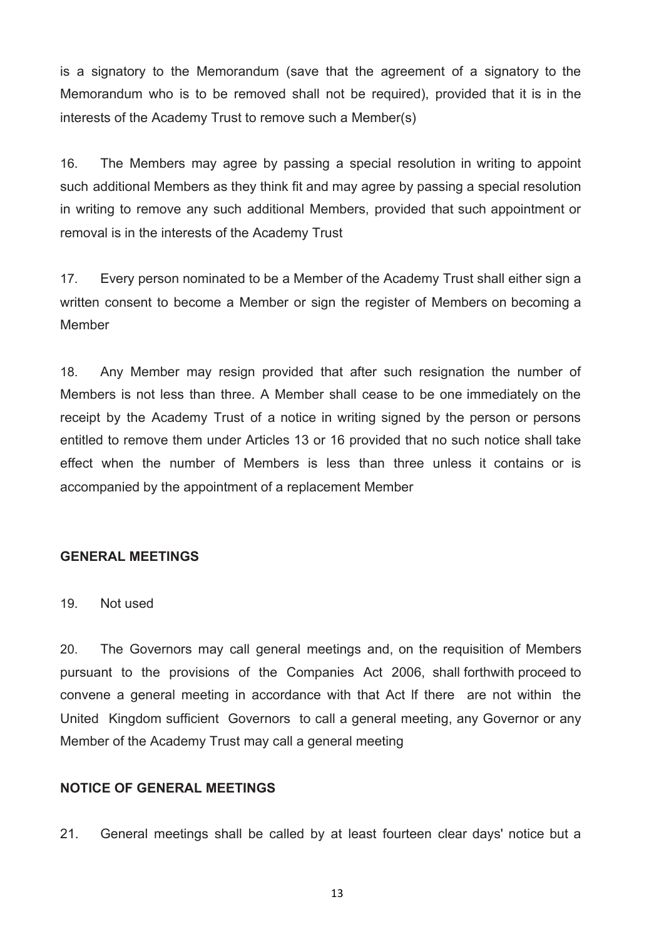is a signatory to the Memorandum (save that the agreement of a signatory to the Memorandum who is to be removed shall not be required), provided that it is in the interests of the Academy Trust to remove such a Member(s)

16. The Members may agree by passing a special resolution in writing to appoint such additional Members as they think fit and may agree by passing a special resolution in writing to remove any such additional Members, provided that such appointment or removal is in the interests of the Academy Trust

17. Every person nominated to be a Member of the Academy Trust shall either sign a written consent to become a Member or sign the register of Members on becoming a Member

18. Any Member may resign provided that after such resignation the number of Members is not less than three. A Member shall cease to be one immediately on the receipt by the Academy Trust of a notice in writing signed by the person or persons entitled to remove them under Articles 13 or 16 provided that no such notice shall take effect when the number of Members is less than three unless it contains or is accompanied by the appointment of a replacement Member

## **GENERAL MEETINGS**

19. Not used

20. The Governors may call general meetings and, on the requisition of Members pursuant to the provisions of the Companies Act 2006, shall forthwith proceed to convene a general meeting in accordance with that Act lf there are not within the United Kingdom sufficient Governors to call a general meeting, any Governor or any Member of the Academy Trust may call a general meeting

## **NOTICE OF GENERAL MEETINGS**

21. General meetings shall be called by at least fourteen clear days' notice but a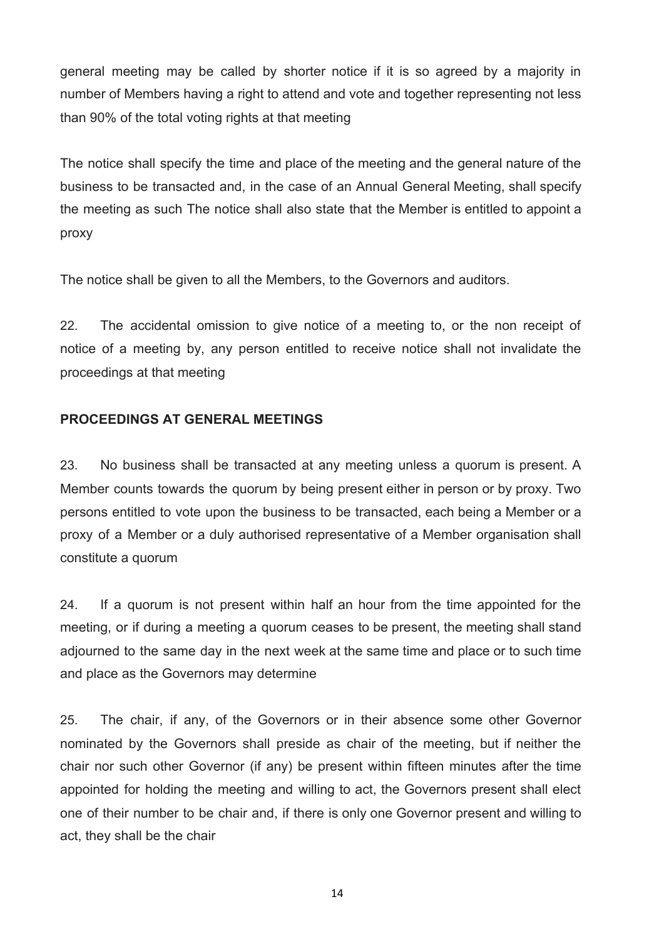general meeting may be called by shorter notice if it is so agreed by a majority in number of Members having a right to attend and vote and together representing not less than 90% of the total voting rights at that meeting

The notice shall specify the time and place of the meeting and the general nature of the business to be transacted and, in the case of an Annual General Meeting, shall specify the meeting as such The notice shall also state that the Member is entitled to appoint a proxy

The notice shall be given to all the Members, to the Governors and auditors.

22. The accidental omission to give notice of a meeting to, or the non receipt of notice of a meeting by, any person entitled to receive notice shall not invalidate the proceedings at that meeting

## **PROCEEDINGS AT GENERAL MEETINGS**

23. No business shall be transacted at any meeting unless a quorum is present. A Member counts towards the quorum by being present either in person or by proxy. Two persons entitled to vote upon the business to be transacted, each being a Member or a proxy of a Member or a duly authorised representative of a Member organisation shall constitute a quorum

24. If a quorum is not present within half an hour from the time appointed for the meeting, or if during a meeting a quorum ceases to be present, the meeting shall stand adjourned to the same day in the next week at the same time and place or to such time and place as the Governors may determine

25. The chair, if any, of the Governors or in their absence some other Governor nominated by the Governors shall preside as chair of the meeting, but if neither the chair nor such other Governor (if any) be present within fifteen minutes after the time appointed for holding the meeting and willing to act, the Governors present shall elect one of their number to be chair and, if there is only one Governor present and willing to act, they shall be the chair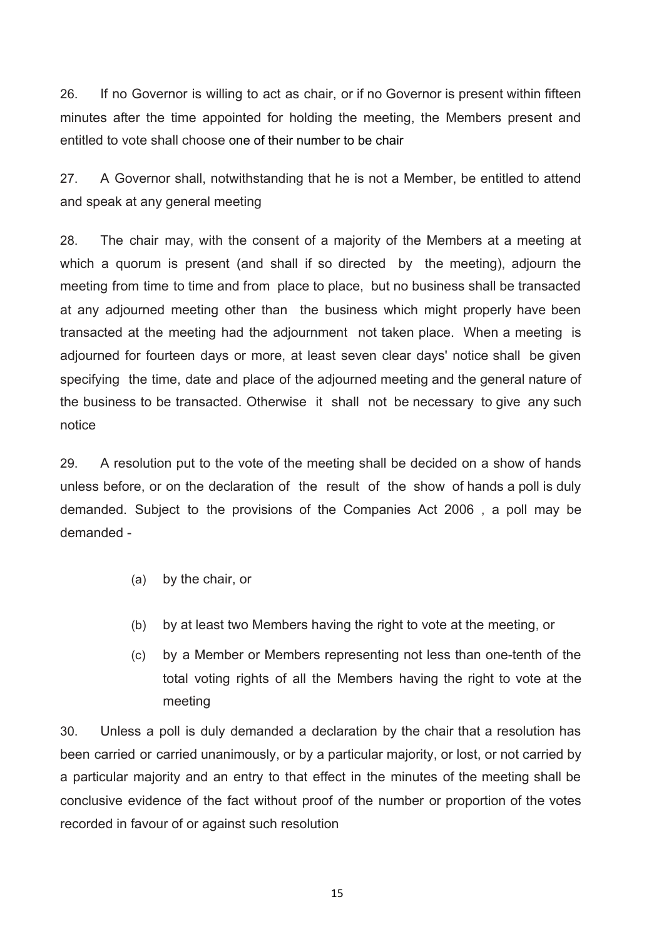26. If no Governor is willing to act as chair, or if no Governor is present within fifteen minutes after the time appointed for holding the meeting, the Members present and entitled to vote shall choose one of their number to be chair

27. A Governor shall, notwithstanding that he is not a Member, be entitled to attend and speak at any general meeting

28. The chair may, with the consent of a majority of the Members at a meeting at which a quorum is present (and shall if so directed by the meeting), adjourn the meeting from time to time and from place to place, but no business shall be transacted at any adjourned meeting other than the business which might properly have been transacted at the meeting had the adjournment not taken place. When a meeting is adjourned for fourteen days or more, at least seven clear days' notice shall be given specifying the time, date and place of the adjourned meeting and the general nature of the business to be transacted. Otherwise it shall not be necessary to give any such notice

29. A resolution put to the vote of the meeting shall be decided on a show of hands unless before, or on the declaration of the result of the show of hands a poll is duly demanded. Subject to the provisions of the Companies Act 2006 , a poll may be demanded -

- (a) by the chair, or
- (b) by at least two Members having the right to vote at the meeting, or
- (c) by a Member or Members representing not less than one-tenth of the total voting rights of all the Members having the right to vote at the meeting

30. Unless a poll is duly demanded a declaration by the chair that a resolution has been carried or carried unanimously, or by a particular majority, or lost, or not carried by a particular majority and an entry to that effect in the minutes of the meeting shall be conclusive evidence of the fact without proof of the number or proportion of the votes recorded in favour of or against such resolution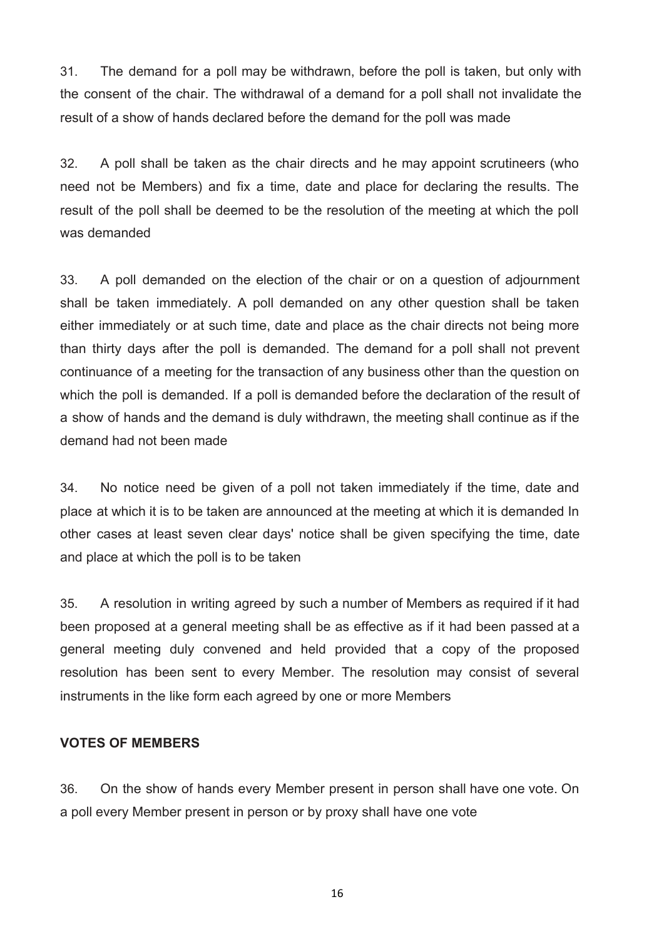31. The demand for a poll may be withdrawn, before the poll is taken, but only with the consent of the chair. The withdrawal of a demand for a poll shall not invalidate the result of a show of hands declared before the demand for the poll was made

32. A poll shall be taken as the chair directs and he may appoint scrutineers (who need not be Members) and fix a time, date and place for declaring the results. The result of the poll shall be deemed to be the resolution of the meeting at which the poll was demanded

33. A poll demanded on the election of the chair or on a question of adjournment shall be taken immediately. A poll demanded on any other question shall be taken either immediately or at such time, date and place as the chair directs not being more than thirty days after the poll is demanded. The demand for a poll shall not prevent continuance of a meeting for the transaction of any business other than the question on which the poll is demanded. If a poll is demanded before the declaration of the result of a show of hands and the demand is duly withdrawn, the meeting shall continue as if the demand had not been made

34. No notice need be given of a poll not taken immediately if the time, date and place at which it is to be taken are announced at the meeting at which it is demanded In other cases at least seven clear days' notice shall be given specifying the time, date and place at which the poll is to be taken

35. A resolution in writing agreed by such a number of Members as required if it had been proposed at a general meeting shall be as effective as if it had been passed at a general meeting duly convened and held provided that a copy of the proposed resolution has been sent to every Member. The resolution may consist of several instruments in the like form each agreed by one or more Members

#### **VOTES OF MEMBERS**

36. On the show of hands every Member present in person shall have one vote. On a poll every Member present in person or by proxy shall have one vote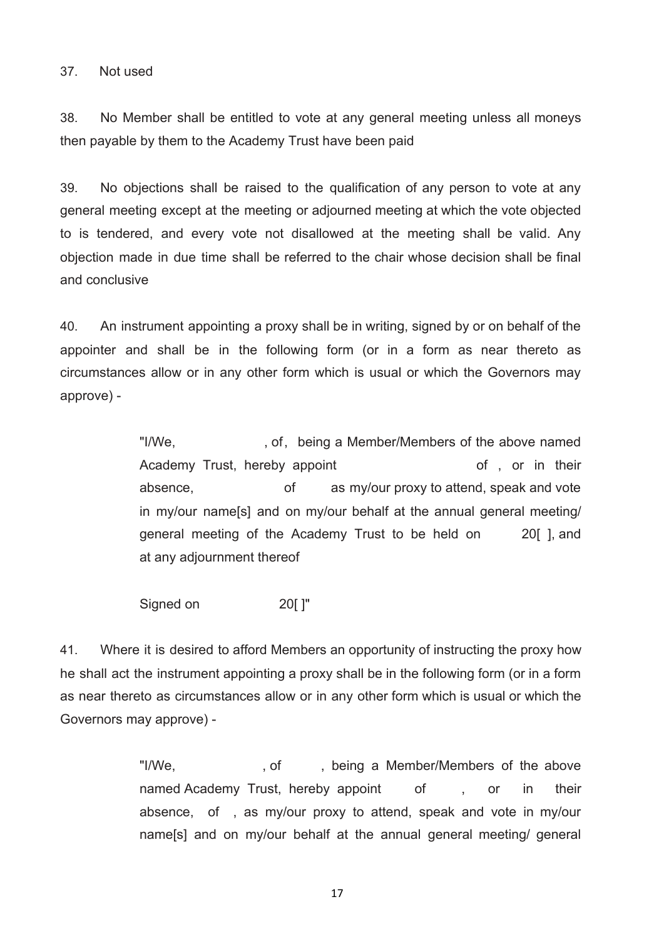#### 37. Not used

38. No Member shall be entitled to vote at any general meeting unless all moneys then payable by them to the Academy Trust have been paid

39. No objections shall be raised to the qualification of any person to vote at any general meeting except at the meeting or adjourned meeting at which the vote objected to is tendered, and every vote not disallowed at the meeting shall be valid. Any objection made in due time shall be referred to the chair whose decision shall be final and conclusive

40. An instrument appointing a proxy shall be in writing, signed by or on behalf of the appointer and shall be in the following form (or in a form as near thereto as circumstances allow or in any other form which is usual or which the Governors may approve) -

> "I/We, example in the off of the being a Member/Members of the above named Academy Trust, hereby appoint and the state of , or in their absence, of as my/our proxy to attend, speak and vote in my/our name[s] and on my/our behalf at the annual general meeting/ general meeting of the Academy Trust to be held on 20[ ], and at any adjournment thereof

Signed on 20[ ]"

41. Where it is desired to afford Members an opportunity of instructing the proxy how he shall act the instrument appointing a proxy shall be in the following form (or in a form as near thereto as circumstances allow or in any other form which is usual or which the Governors may approve) -

> "I/We, example of the solution of the above states of the above named Academy Trust, hereby appoint of , or in their absence, of , as my/our proxy to attend, speak and vote in my/our name[s] and on my/our behalf at the annual general meeting/ general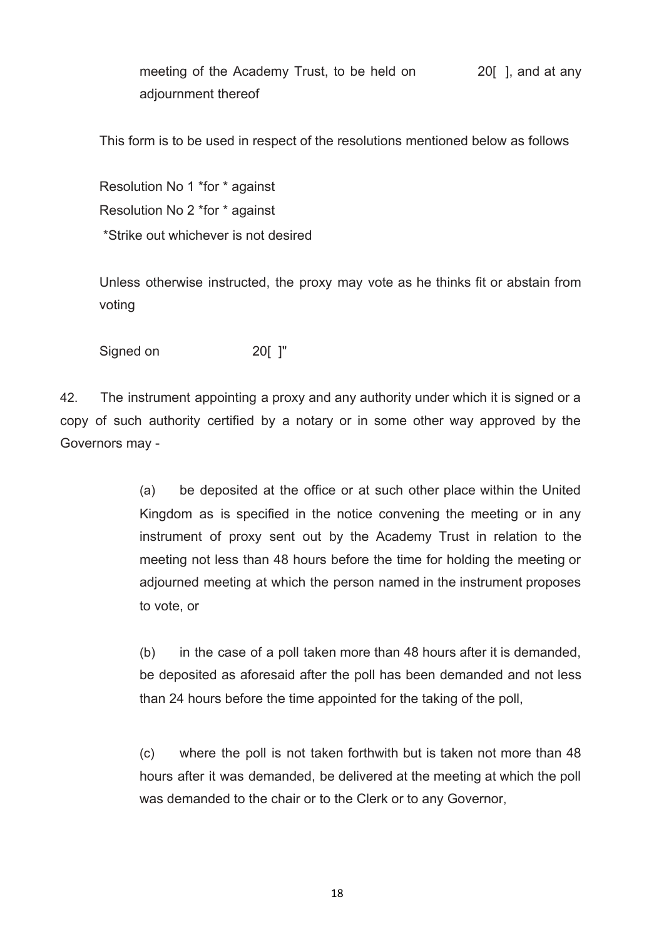meeting of the Academy Trust, to be held on 20 [ ], and at any adjournment thereof

This form is to be used in respect of the resolutions mentioned below as follows

Resolution No 1 \*for \* against Resolution No 2 \*for \* against \*Strike out whichever is not desired

Unless otherwise instructed, the proxy may vote as he thinks fit or abstain from voting

Signed on 20[ ]"

42. The instrument appointing a proxy and any authority under which it is signed or a copy of such authority certified by a notary or in some other way approved by the Governors may -

> (a) be deposited at the office or at such other place within the United Kingdom as is specified in the notice convening the meeting or in any instrument of proxy sent out by the Academy Trust in relation to the meeting not less than 48 hours before the time for holding the meeting or adjourned meeting at which the person named in the instrument proposes to vote, or

> (b) in the case of a poll taken more than 48 hours after it is demanded, be deposited as aforesaid after the poll has been demanded and not less than 24 hours before the time appointed for the taking of the poll,

> (c) where the poll is not taken forthwith but is taken not more than 48 hours after it was demanded, be delivered at the meeting at which the poll was demanded to the chair or to the Clerk or to any Governor,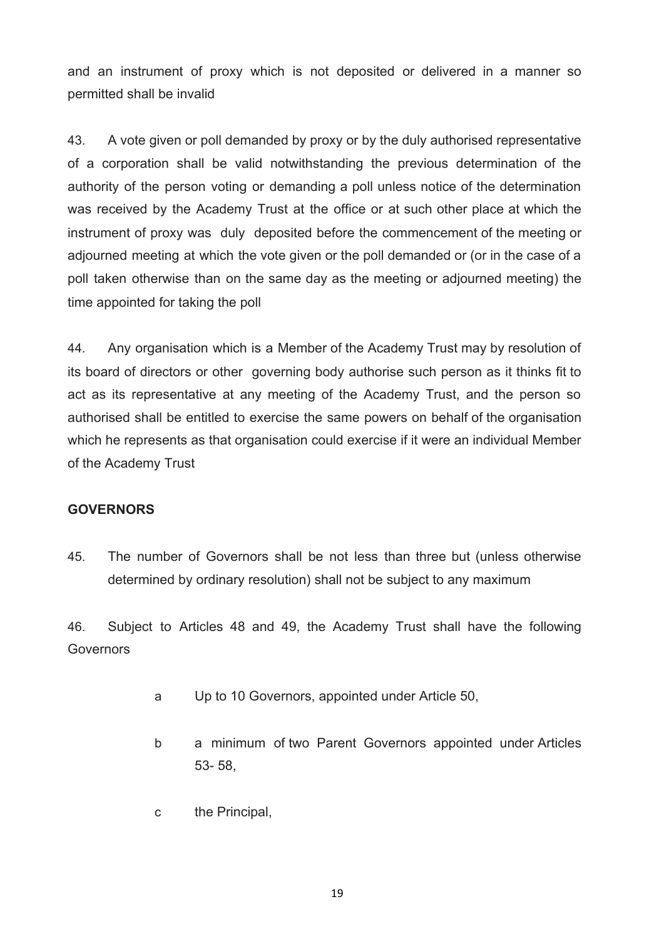and an instrument of proxy which is not deposited or delivered in a manner so permitted shall be invalid

43. A vote given or poll demanded by proxy or by the duly authorised representative of a corporation shall be valid notwithstanding the previous determination of the authority of the person voting or demanding a poll unless notice of the determination was received by the Academy Trust at the office or at such other place at which the instrument of proxy was duly deposited before the commencement of the meeting or adjourned meeting at which the vote given or the poll demanded or (or in the case of a poll taken otherwise than on the same day as the meeting or adjourned meeting) the time appointed for taking the poll

44. Any organisation which is a Member of the Academy Trust may by resolution of its board of directors or other governing body authorise such person as it thinks fit to act as its representative at any meeting of the Academy Trust, and the person so authorised shall be entitled to exercise the same powers on behalf of the organisation which he represents as that organisation could exercise if it were an individual Member of the Academy Trust

## **GOVERNORS**

45. The number of Governors shall be not less than three but (unless otherwise determined by ordinary resolution) shall not be subject to any maximum

46. Subject to Articles 48 and 49, the Academy Trust shall have the following **Governors** 

- a Up to 10 Governors, appointed under Article 50,
- b a minimum of two Parent Governors appointed under Articles 53- 58,
- c the Principal,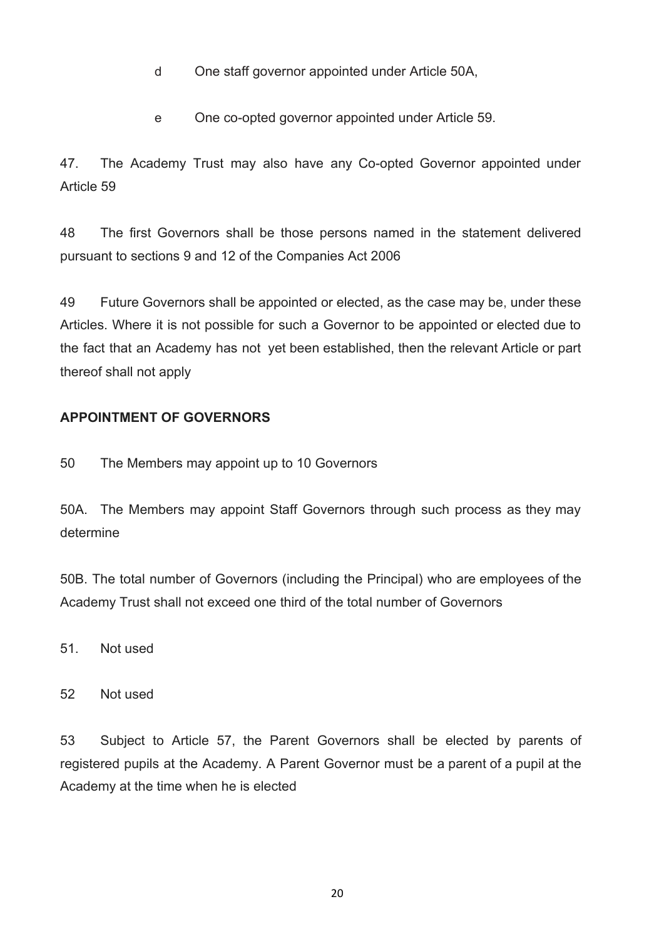- d One staff governor appointed under Article 50A,
- e One co-opted governor appointed under Article 59.

47. The Academy Trust may also have any Co-opted Governor appointed under Article 59

48 The first Governors shall be those persons named in the statement delivered pursuant to sections 9 and 12 of the Companies Act 2006

49 Future Governors shall be appointed or elected, as the case may be, under these Articles. Where it is not possible for such a Governor to be appointed or elected due to the fact that an Academy has not yet been established, then the relevant Article or part thereof shall not apply

## **APPOINTMENT OF GOVERNORS**

50 The Members may appoint up to 10 Governors

50A. The Members may appoint Staff Governors through such process as they may determine

50B. The total number of Governors (including the Principal) who are employees of the Academy Trust shall not exceed one third of the total number of Governors

51. Not used

52 Not used

53 Subject to Article 57, the Parent Governors shall be elected by parents of registered pupils at the Academy. A Parent Governor must be a parent of a pupil at the Academy at the time when he is elected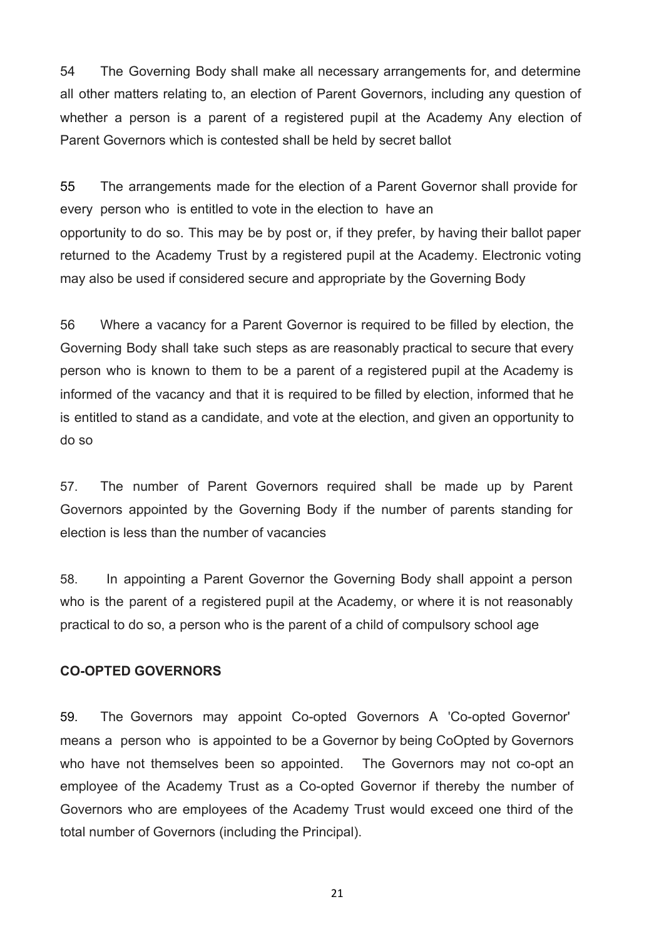54 The Governing Body shall make all necessary arrangements for, and determine all other matters relating to, an election of Parent Governors, including any question of whether a person is a parent of a registered pupil at the Academy Any election of Parent Governors which is contested shall be held by secret ballot

55 The arrangements made for the election of a Parent Governor shall provide for every person who is entitled to vote in the election to have an opportunity to do so. This may be by post or, if they prefer, by having their ballot paper returned to the Academy Trust by a registered pupil at the Academy. Electronic voting may also be used if considered secure and appropriate by the Governing Body

56 Where a vacancy for a Parent Governor is required to be filled by election, the Governing Body shall take such steps as are reasonably practical to secure that every person who is known to them to be a parent of a registered pupil at the Academy is informed of the vacancy and that it is required to be filled by election, informed that he is entitled to stand as a candidate, and vote at the election, and given an opportunity to do so

57. The number of Parent Governors required shall be made up by Parent Governors appointed by the Governing Body if the number of parents standing for election is less than the number of vacancies

58. In appointing a Parent Governor the Governing Body shall appoint a person who is the parent of a registered pupil at the Academy, or where it is not reasonably practical to do so, a person who is the parent of a child of compulsory school age

#### **CO-OPTED GOVERNORS**

59. The Governors may appoint Co-opted Governors A 'Co-opted Governor' means a person who is appointed to be a Governor by being CoOpted by Governors who have not themselves been so appointed. The Governors may not co-opt an employee of the Academy Trust as a Co-opted Governor if thereby the number of Governors who are employees of the Academy Trust would exceed one third of the total number of Governors (including the Principal).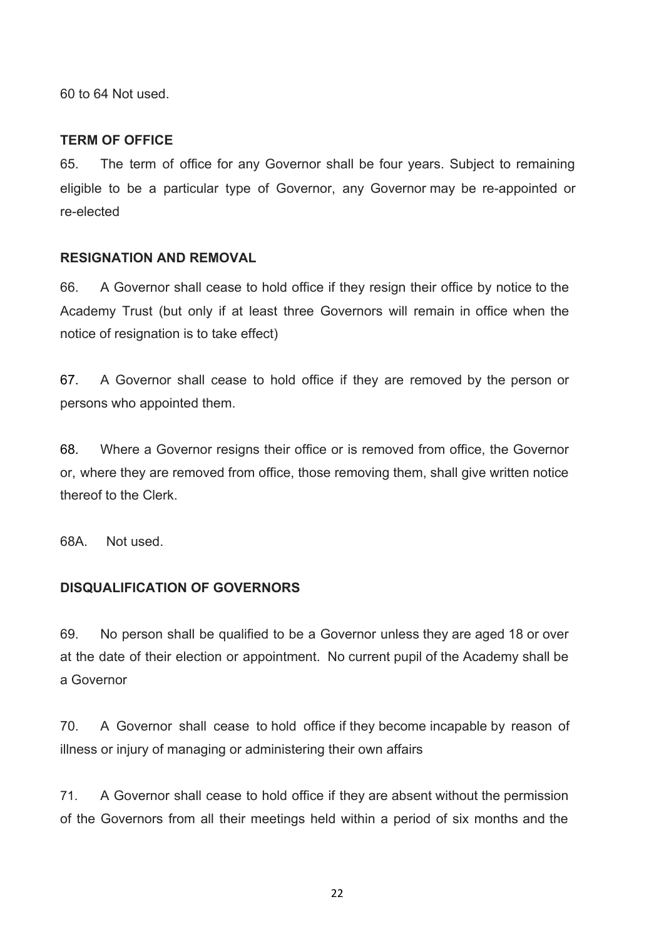60 to 64 Not used.

## **TERM OF OFFICE**

65. The term of office for any Governor shall be four years. Subject to remaining eligible to be a particular type of Governor, any Governor may be re-appointed or re-elected

### **RESIGNATION AND REMOVAL**

66. A Governor shall cease to hold office if they resign their office by notice to the Academy Trust (but only if at least three Governors will remain in office when the notice of resignation is to take effect)

67. A Governor shall cease to hold office if they are removed by the person or persons who appointed them.

68. Where a Governor resigns their office or is removed from office, the Governor or, where they are removed from office, those removing them, shall give written notice thereof to the Clerk.

68A. Not used.

## **DISQUALIFICATION OF GOVERNORS**

69. No person shall be qualified to be a Governor unless they are aged 18 or over at the date of their election or appointment. No current pupil of the Academy shall be a Governor

70. A Governor shall cease to hold office if they become incapable by reason of illness or injury of managing or administering their own affairs

71. A Governor shall cease to hold office if they are absent without the permission of the Governors from all their meetings held within a period of six months and the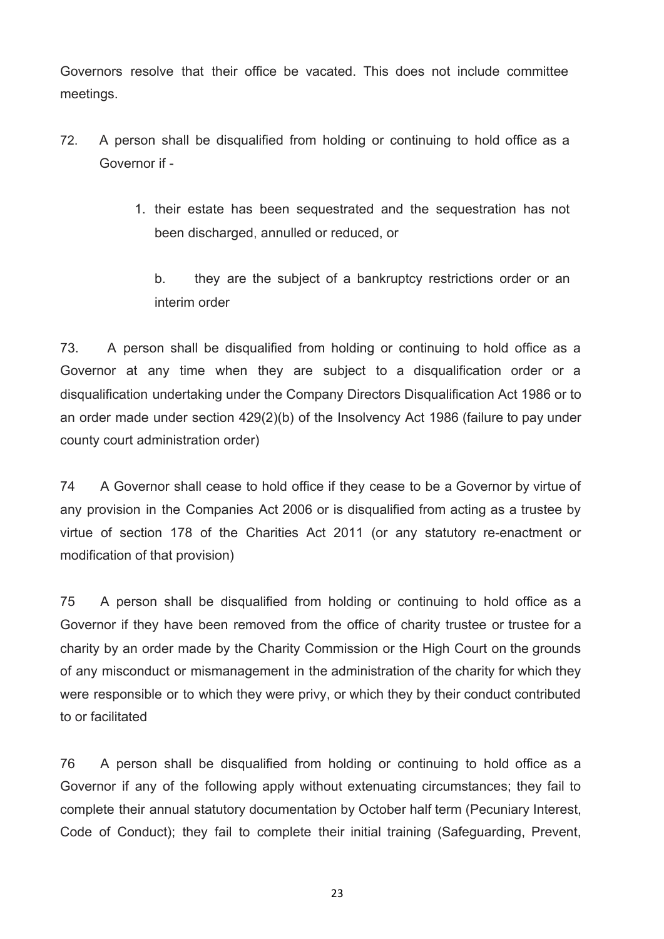Governors resolve that their office be vacated. This does not include committee meetings.

- 72. A person shall be disqualified from holding or continuing to hold office as a Governor if -
	- 1. their estate has been sequestrated and the sequestration has not been discharged, annulled or reduced, or

b. they are the subject of a bankruptcy restrictions order or an interim order

73. A person shall be disqualified from holding or continuing to hold office as a Governor at any time when they are subject to a disqualification order or a disqualification undertaking under the Company Directors Disqualification Act 1986 or to an order made under section 429(2)(b) of the Insolvency Act 1986 (failure to pay under county court administration order)

74 A Governor shall cease to hold office if they cease to be a Governor by virtue of any provision in the Companies Act 2006 or is disqualified from acting as a trustee by virtue of section 178 of the Charities Act 2011 (or any statutory re-enactment or modification of that provision)

75 A person shall be disqualified from holding or continuing to hold office as a Governor if they have been removed from the office of charity trustee or trustee for a charity by an order made by the Charity Commission or the High Court on the grounds of any misconduct or mismanagement in the administration of the charity for which they were responsible or to which they were privy, or which they by their conduct contributed to or facilitated

76 A person shall be disqualified from holding or continuing to hold office as a Governor if any of the following apply without extenuating circumstances; they fail to complete their annual statutory documentation by October half term (Pecuniary Interest, Code of Conduct); they fail to complete their initial training (Safeguarding, Prevent,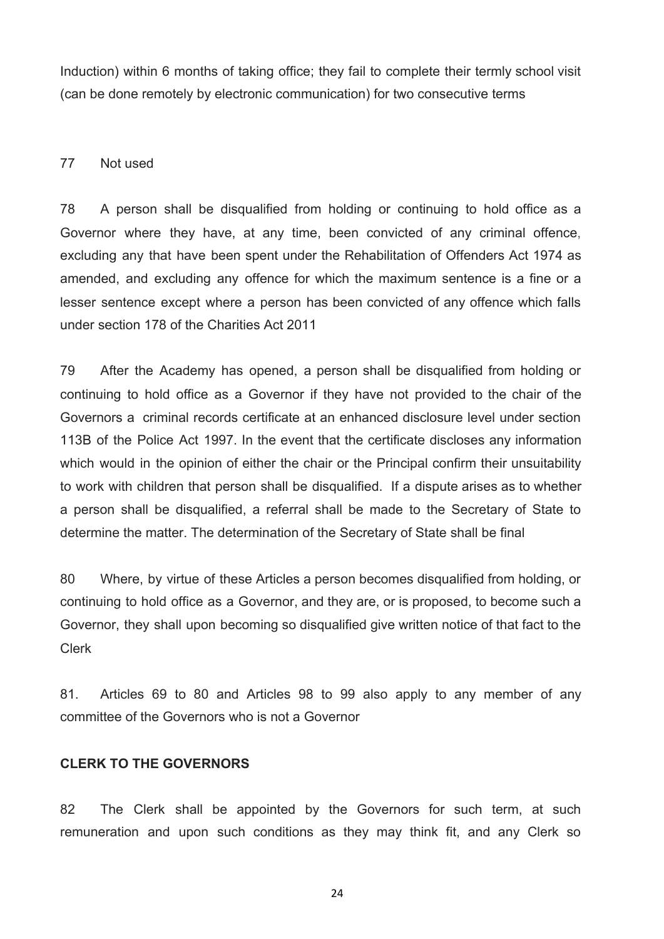Induction) within 6 months of taking office; they fail to complete their termly school visit (can be done remotely by electronic communication) for two consecutive terms

#### 77 Not used

78 A person shall be disqualified from holding or continuing to hold office as a Governor where they have, at any time, been convicted of any criminal offence, excluding any that have been spent under the Rehabilitation of Offenders Act 1974 as amended, and excluding any offence for which the maximum sentence is a fine or a lesser sentence except where a person has been convicted of any offence which falls under section 178 of the Charities Act 2011

79 After the Academy has opened, a person shall be disqualified from holding or continuing to hold office as a Governor if they have not provided to the chair of the Governors a criminal records certificate at an enhanced disclosure level under section 113B of the Police Act 1997. In the event that the certificate discloses any information which would in the opinion of either the chair or the Principal confirm their unsuitability to work with children that person shall be disqualified. If a dispute arises as to whether a person shall be disqualified, a referral shall be made to the Secretary of State to determine the matter. The determination of the Secretary of State shall be final

80 Where, by virtue of these Articles a person becomes disqualified from holding, or continuing to hold office as a Governor, and they are, or is proposed, to become such a Governor, they shall upon becoming so disqualified give written notice of that fact to the Clerk

81. Articles 69 to 80 and Articles 98 to 99 also apply to any member of any committee of the Governors who is not a Governor

## **CLERK TO THE GOVERNORS**

82 The Clerk shall be appointed by the Governors for such term, at such remuneration and upon such conditions as they may think fit, and any Clerk so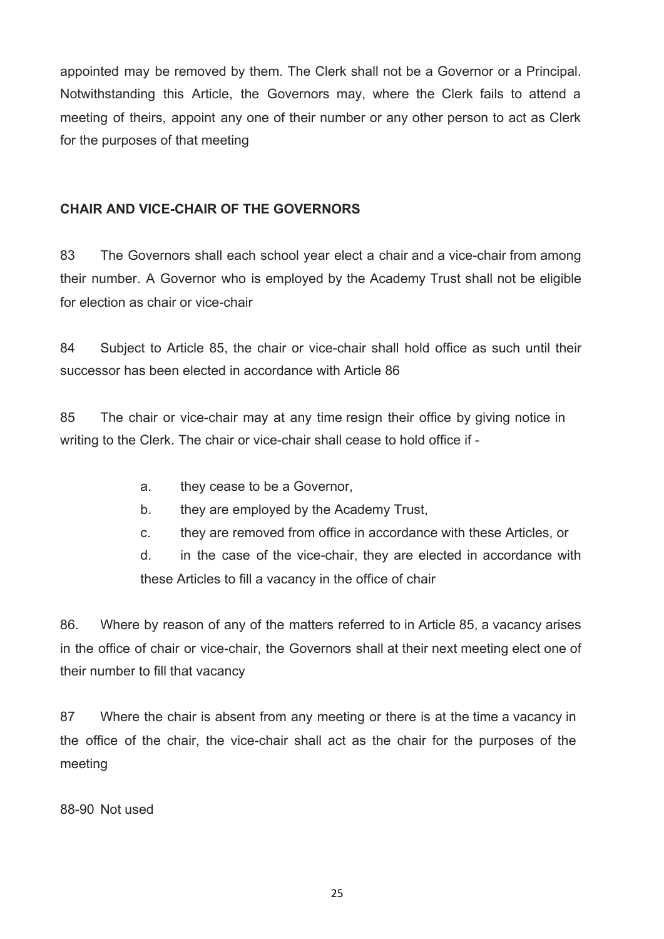appointed may be removed by them. The Clerk shall not be a Governor or a Principal. Notwithstanding this Article, the Governors may, where the Clerk fails to attend a meeting of theirs, appoint any one of their number or any other person to act as Clerk for the purposes of that meeting

## **CHAIR AND VICE-CHAIR OF THE GOVERNORS**

83 The Governors shall each school year elect a chair and a vice-chair from among their number. A Governor who is employed by the Academy Trust shall not be eligible for election as chair or vice-chair

84 Subject to Article 85, the chair or vice-chair shall hold office as such until their successor has been elected in accordance with Article 86

85 The chair or vice-chair may at any time resign their office by giving notice in writing to the Clerk. The chair or vice-chair shall cease to hold office if -

- a. they cease to be a Governor,
- b. they are employed by the Academy Trust,
- c. they are removed from office in accordance with these Articles, or

d. in the case of the vice-chair, they are elected in accordance with these Articles to fill a vacancy in the office of chair

86. Where by reason of any of the matters referred to in Article 85, a vacancy arises in the office of chair or vice-chair, the Governors shall at their next meeting elect one of their number to fill that vacancy

87 Where the chair is absent from any meeting or there is at the time a vacancy in the office of the chair, the vice-chair shall act as the chair for the purposes of the meeting

88-90 Not used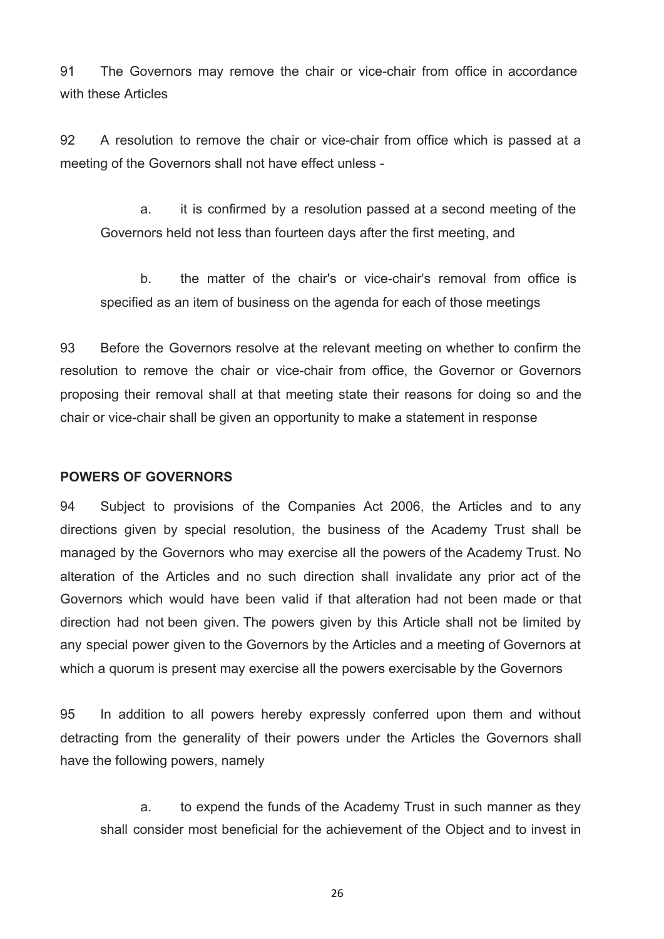91 The Governors may remove the chair or vice-chair from office in accordance with these Articles

92 A resolution to remove the chair or vice-chair from office which is passed at a meeting of the Governors shall not have effect unless -

a. it is confirmed by a resolution passed at a second meeting of the Governors held not less than fourteen days after the first meeting, and

b. the matter of the chair's or vice-chair's removal from office is specified as an item of business on the agenda for each of those meetings

93 Before the Governors resolve at the relevant meeting on whether to confirm the resolution to remove the chair or vice-chair from office, the Governor or Governors proposing their removal shall at that meeting state their reasons for doing so and the chair or vice-chair shall be given an opportunity to make a statement in response

#### **POWERS OF GOVERNORS**

94 Subject to provisions of the Companies Act 2006, the Articles and to any directions given by special resolution, the business of the Academy Trust shall be managed by the Governors who may exercise all the powers of the Academy Trust. No alteration of the Articles and no such direction shall invalidate any prior act of the Governors which would have been valid if that alteration had not been made or that direction had not been given. The powers given by this Article shall not be limited by any special power given to the Governors by the Articles and a meeting of Governors at which a quorum is present may exercise all the powers exercisable by the Governors

95 In addition to all powers hereby expressly conferred upon them and without detracting from the generality of their powers under the Articles the Governors shall have the following powers, namely

a. to expend the funds of the Academy Trust in such manner as they shall consider most beneficial for the achievement of the Object and to invest in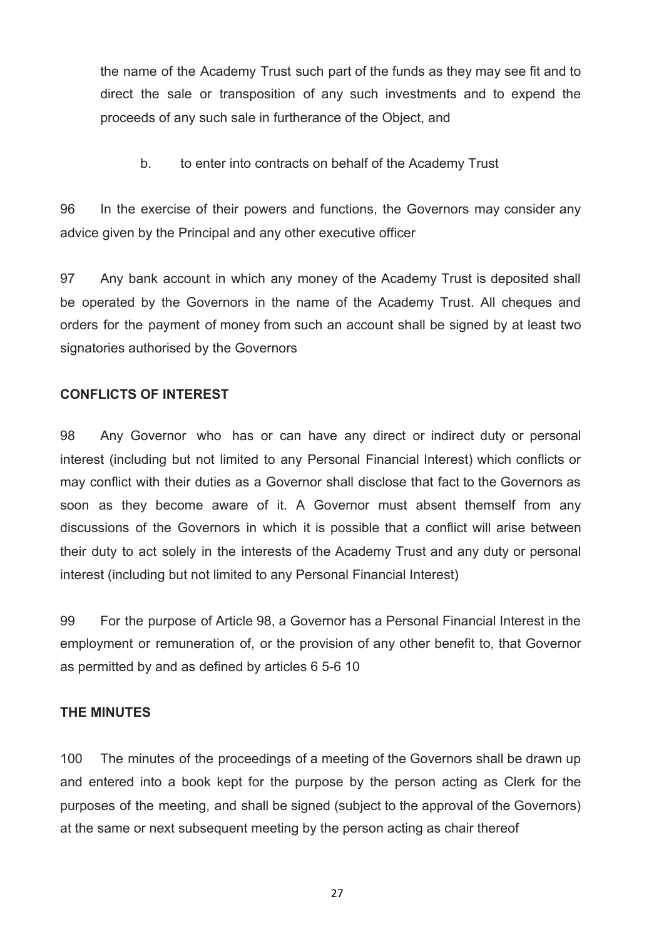the name of the Academy Trust such part of the funds as they may see fit and to direct the sale or transposition of any such investments and to expend the proceeds of any such sale in furtherance of the Object, and

b. to enter into contracts on behalf of the Academy Trust

96 In the exercise of their powers and functions, the Governors may consider any advice given by the Principal and any other executive officer

97 Any bank account in which any money of the Academy Trust is deposited shall be operated by the Governors in the name of the Academy Trust. All cheques and orders for the payment of money from such an account shall be signed by at least two signatories authorised by the Governors

## **CONFLICTS OF INTEREST**

98 Any Governor who has or can have any direct or indirect duty or personal interest (including but not limited to any Personal Financial Interest) which conflicts or may conflict with their duties as a Governor shall disclose that fact to the Governors as soon as they become aware of it. A Governor must absent themself from any discussions of the Governors in which it is possible that a conflict will arise between their duty to act solely in the interests of the Academy Trust and any duty or personal interest (including but not limited to any Personal Financial Interest)

99 For the purpose of Article 98, a Governor has a Personal Financial Interest in the employment or remuneration of, or the provision of any other benefit to, that Governor as permitted by and as defined by articles 6 5-6 10

## **THE MINUTES**

100 The minutes of the proceedings of a meeting of the Governors shall be drawn up and entered into a book kept for the purpose by the person acting as Clerk for the purposes of the meeting, and shall be signed (subject to the approval of the Governors) at the same or next subsequent meeting by the person acting as chair thereof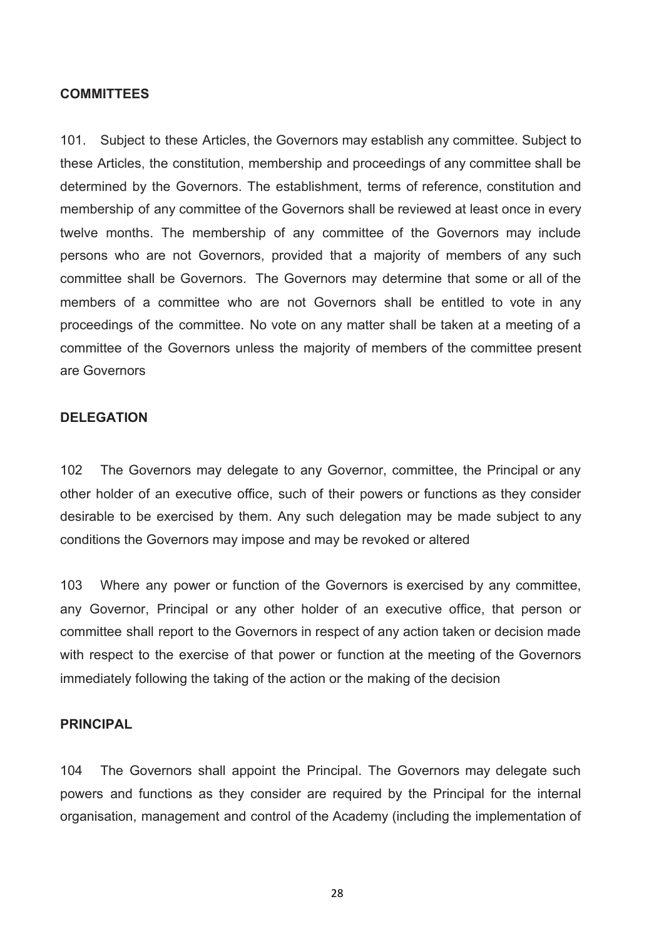## **COMMITTEES**

101. Subject to these Articles, the Governors may establish any committee. Subject to these Articles, the constitution, membership and proceedings of any committee shall be determined by the Governors. The establishment, terms of reference, constitution and membership of any committee of the Governors shall be reviewed at least once in every twelve months. The membership of any committee of the Governors may include persons who are not Governors, provided that a majority of members of any such committee shall be Governors. The Governors may determine that some or all of the members of a committee who are not Governors shall be entitled to vote in any proceedings of the committee. No vote on any matter shall be taken at a meeting of a committee of the Governors unless the majority of members of the committee present are Governors

#### **DELEGATION**

102 The Governors may delegate to any Governor, committee, the Principal or any other holder of an executive office, such of their powers or functions as they consider desirable to be exercised by them. Any such delegation may be made subject to any conditions the Governors may impose and may be revoked or altered

103 Where any power or function of the Governors is exercised by any committee, any Governor, Principal or any other holder of an executive office, that person or committee shall report to the Governors in respect of any action taken or decision made with respect to the exercise of that power or function at the meeting of the Governors immediately following the taking of the action or the making of the decision

## **PRINCIPAL**

104 The Governors shall appoint the Principal. The Governors may delegate such powers and functions as they consider are required by the Principal for the internal organisation, management and control of the Academy (including the implementation of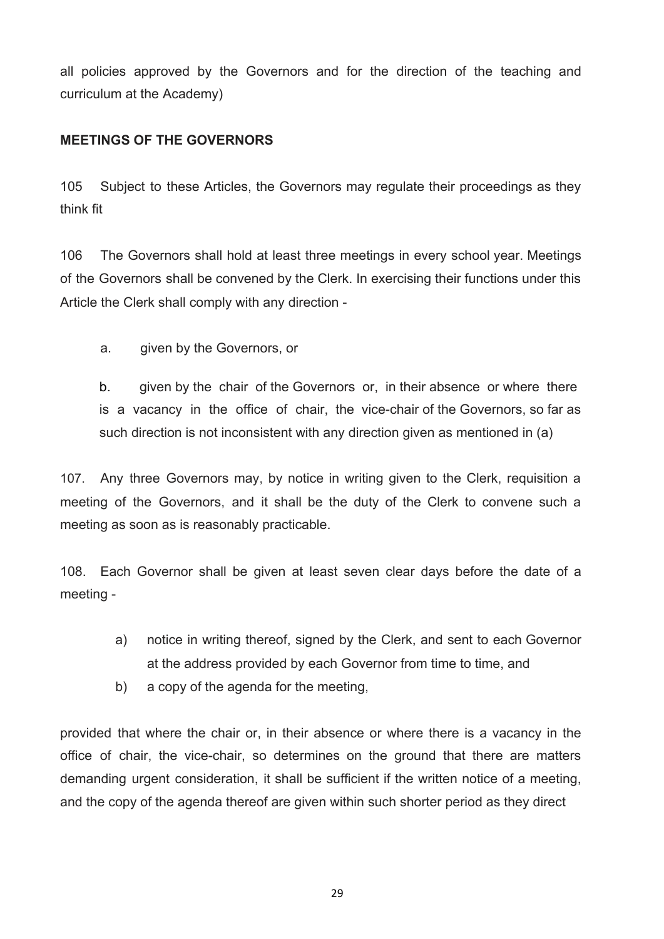all policies approved by the Governors and for the direction of the teaching and curriculum at the Academy)

## **MEETINGS OF THE GOVERNORS**

105 Subject to these Articles, the Governors may regulate their proceedings as they think fit

106 The Governors shall hold at least three meetings in every school year. Meetings of the Governors shall be convened by the Clerk. In exercising their functions under this Article the Clerk shall comply with any direction -

a. given by the Governors, or

b. given by the chair of the Governors or, in their absence or where there is a vacancy in the office of chair, the vice-chair of the Governors, so far as such direction is not inconsistent with any direction given as mentioned in (a)

107. Any three Governors may, by notice in writing given to the Clerk, requisition a meeting of the Governors, and it shall be the duty of the Clerk to convene such a meeting as soon as is reasonably practicable.

108. Each Governor shall be given at least seven clear days before the date of a meeting -

- a) notice in writing thereof, signed by the Clerk, and sent to each Governor at the address provided by each Governor from time to time, and
- b) a copy of the agenda for the meeting,

provided that where the chair or, in their absence or where there is a vacancy in the office of chair, the vice-chair, so determines on the ground that there are matters demanding urgent consideration, it shall be sufficient if the written notice of a meeting, and the copy of the agenda thereof are given within such shorter period as they direct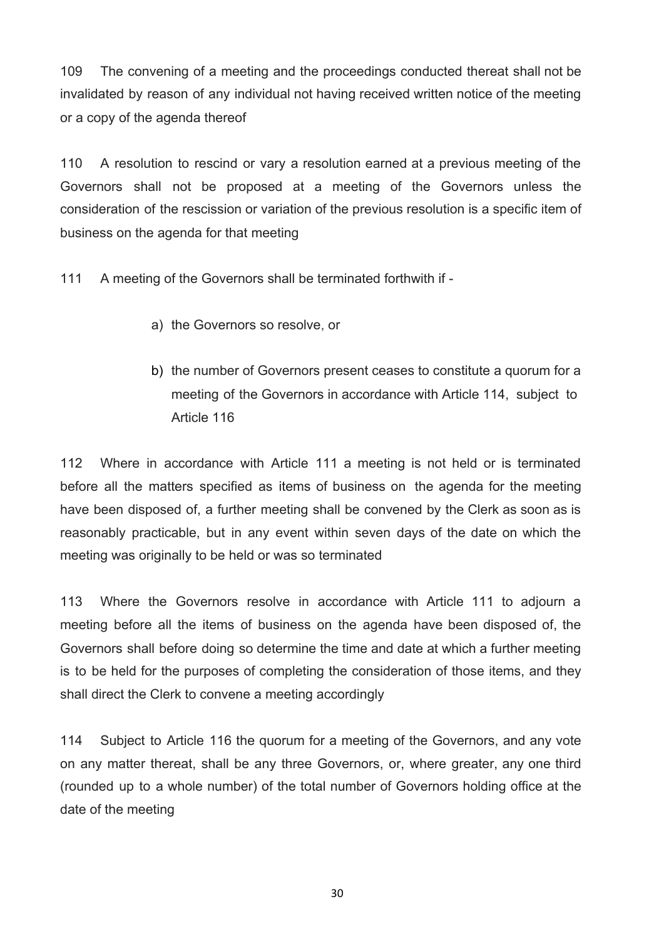109 The convening of a meeting and the proceedings conducted thereat shall not be invalidated by reason of any individual not having received written notice of the meeting or a copy of the agenda thereof

110 A resolution to rescind or vary a resolution earned at a previous meeting of the Governors shall not be proposed at a meeting of the Governors unless the consideration of the rescission or variation of the previous resolution is a specific item of business on the agenda for that meeting

111 A meeting of the Governors shall be terminated forthwith if -

- a) the Governors so resolve, or
- b) the number of Governors present ceases to constitute a quorum for a meeting of the Governors in accordance with Article 114, subject to Article 116

112 Where in accordance with Article 111 a meeting is not held or is terminated before all the matters specified as items of business on the agenda for the meeting have been disposed of, a further meeting shall be convened by the Clerk as soon as is reasonably practicable, but in any event within seven days of the date on which the meeting was originally to be held or was so terminated

113 Where the Governors resolve in accordance with Article 111 to adjourn a meeting before all the items of business on the agenda have been disposed of, the Governors shall before doing so determine the time and date at which a further meeting is to be held for the purposes of completing the consideration of those items, and they shall direct the Clerk to convene a meeting accordingly

114 Subject to Article 116 the quorum for a meeting of the Governors, and any vote on any matter thereat, shall be any three Governors, or, where greater, any one third (rounded up to a whole number) of the total number of Governors holding office at the date of the meeting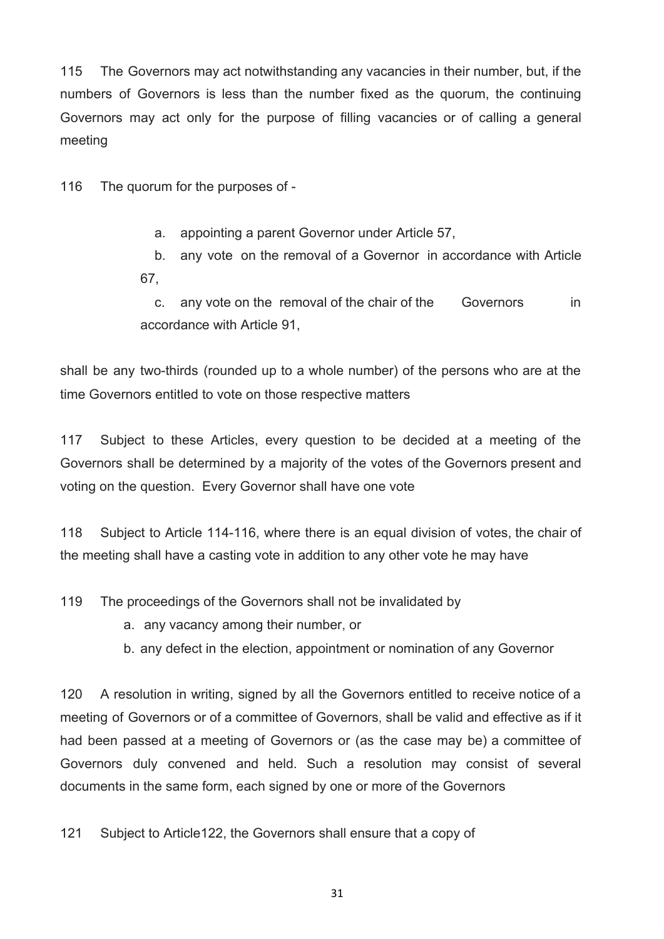115 The Governors may act notwithstanding any vacancies in their number, but, if the numbers of Governors is less than the number fixed as the quorum, the continuing Governors may act only for the purpose of filling vacancies or of calling a general meeting

116 The quorum for the purposes of -

a. appointing a parent Governor under Article 57,

b. any vote on the removal of a Governor in accordance with Article 67,

c. any vote on the removal of the chair of the Governors in accordance with Article 91,

shall be any two-thirds (rounded up to a whole number) of the persons who are at the time Governors entitled to vote on those respective matters

117 Subject to these Articles, every question to be decided at a meeting of the Governors shall be determined by a majority of the votes of the Governors present and voting on the question. Every Governor shall have one vote

118 Subject to Article 114-116, where there is an equal division of votes, the chair of the meeting shall have a casting vote in addition to any other vote he may have

119 The proceedings of the Governors shall not be invalidated by

a. any vacancy among their number, or

b. any defect in the election, appointment or nomination of any Governor

120 A resolution in writing, signed by all the Governors entitled to receive notice of a meeting of Governors or of a committee of Governors, shall be valid and effective as if it had been passed at a meeting of Governors or (as the case may be) a committee of Governors duly convened and held. Such a resolution may consist of several documents in the same form, each signed by one or more of the Governors

121 Subject to Article122, the Governors shall ensure that a copy of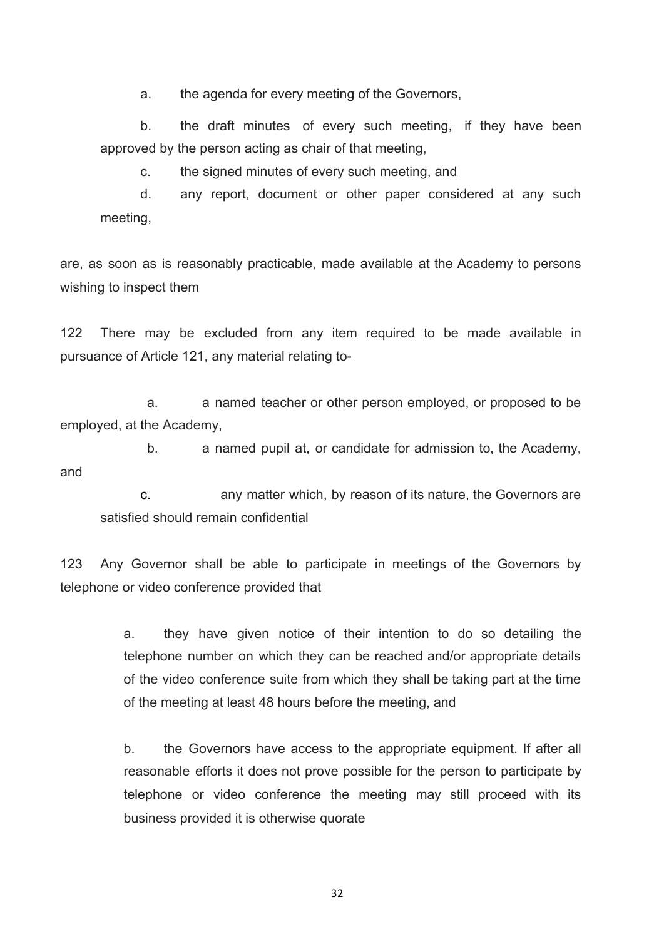a. the agenda for every meeting of the Governors,

b. the draft minutes of every such meeting, if they have been approved by the person acting as chair of that meeting,

c. the signed minutes of every such meeting, and

d. any report, document or other paper considered at any such meeting,

are, as soon as is reasonably practicable, made available at the Academy to persons wishing to inspect them

122 There may be excluded from any item required to be made available in pursuance of Article 121, any material relating to-

a. a named teacher or other person employed, or proposed to be employed, at the Academy,

b. a named pupil at, or candidate for admission to, the Academy, and

c. any matter which, by reason of its nature, the Governors are satisfied should remain confidential

123 Any Governor shall be able to participate in meetings of the Governors by telephone or video conference provided that

> a. they have given notice of their intention to do so detailing the telephone number on which they can be reached and/or appropriate details of the video conference suite from which they shall be taking part at the time of the meeting at least 48 hours before the meeting, and

> b. the Governors have access to the appropriate equipment. If after all reasonable efforts it does not prove possible for the person to participate by telephone or video conference the meeting may still proceed with its business provided it is otherwise quorate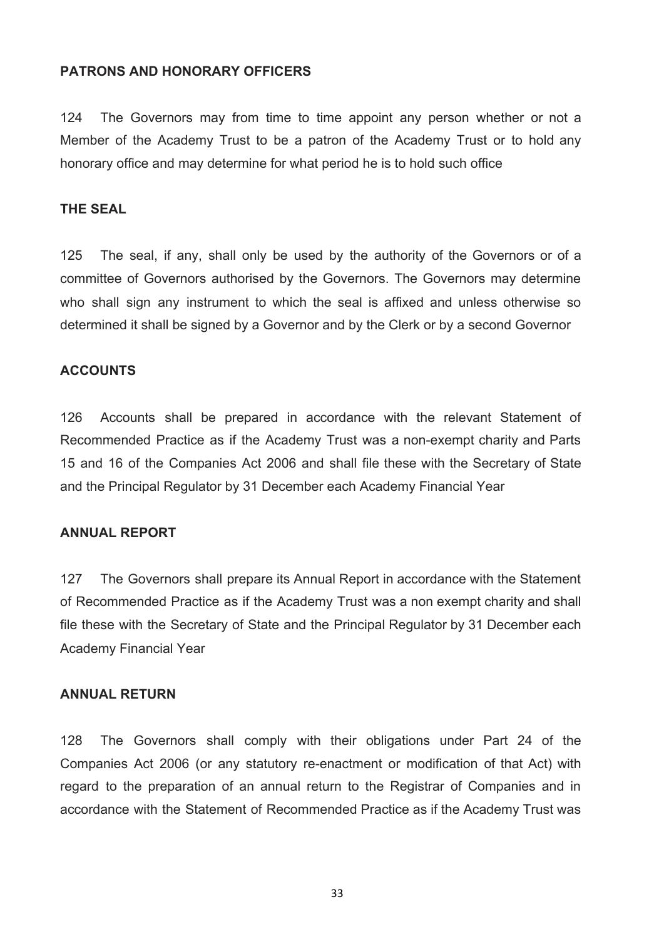#### **PATRONS AND HONORARY OFFICERS**

124 The Governors may from time to time appoint any person whether or not a Member of the Academy Trust to be a patron of the Academy Trust or to hold any honorary office and may determine for what period he is to hold such office

## **THE SEAL**

125 The seal, if any, shall only be used by the authority of the Governors or of a committee of Governors authorised by the Governors. The Governors may determine who shall sign any instrument to which the seal is affixed and unless otherwise so determined it shall be signed by a Governor and by the Clerk or by a second Governor

#### **ACCOUNTS**

126 Accounts shall be prepared in accordance with the relevant Statement of Recommended Practice as if the Academy Trust was a non-exempt charity and Parts 15 and 16 of the Companies Act 2006 and shall file these with the Secretary of State and the Principal Regulator by 31 December each Academy Financial Year

#### **ANNUAL REPORT**

127 The Governors shall prepare its Annual Report in accordance with the Statement of Recommended Practice as if the Academy Trust was a non exempt charity and shall file these with the Secretary of State and the Principal Regulator by 31 December each Academy Financial Year

## **ANNUAL RETURN**

128 The Governors shall comply with their obligations under Part 24 of the Companies Act 2006 (or any statutory re-enactment or modification of that Act) with regard to the preparation of an annual return to the Registrar of Companies and in accordance with the Statement of Recommended Practice as if the Academy Trust was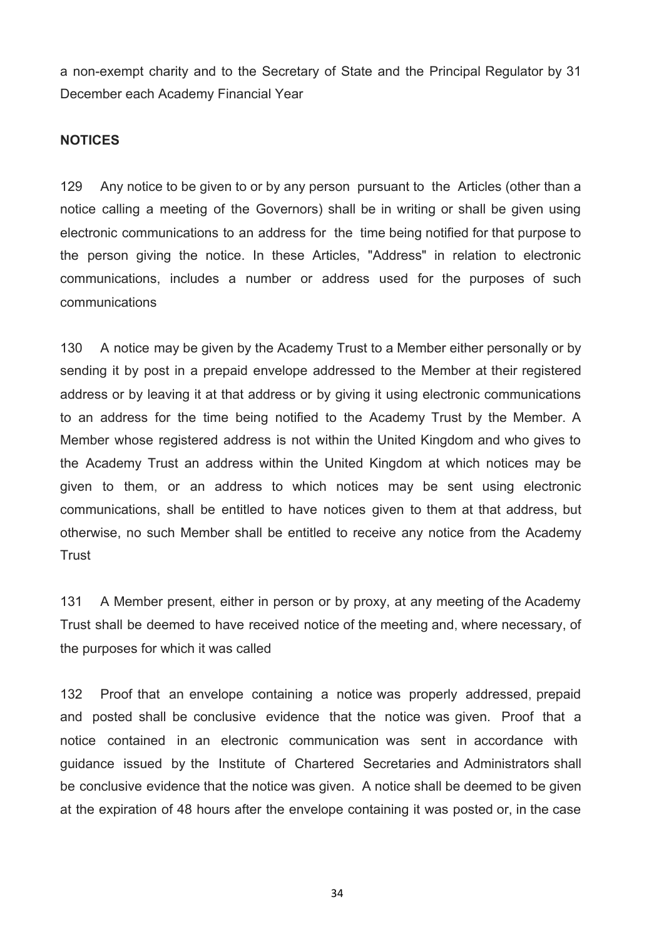a non-exempt charity and to the Secretary of State and the Principal Regulator by 31 December each Academy Financial Year

#### **NOTICES**

129 Any notice to be given to or by any person pursuant to the Articles (other than a notice calling a meeting of the Governors) shall be in writing or shall be given using electronic communications to an address for the time being notified for that purpose to the person giving the notice. In these Articles, "Address" in relation to electronic communications, includes a number or address used for the purposes of such communications

130 A notice may be given by the Academy Trust to a Member either personally or by sending it by post in a prepaid envelope addressed to the Member at their registered address or by leaving it at that address or by giving it using electronic communications to an address for the time being notified to the Academy Trust by the Member. A Member whose registered address is not within the United Kingdom and who gives to the Academy Trust an address within the United Kingdom at which notices may be given to them, or an address to which notices may be sent using electronic communications, shall be entitled to have notices given to them at that address, but otherwise, no such Member shall be entitled to receive any notice from the Academy Trust

131 A Member present, either in person or by proxy, at any meeting of the Academy Trust shall be deemed to have received notice of the meeting and, where necessary, of the purposes for which it was called

132 Proof that an envelope containing a notice was properly addressed, prepaid and posted shall be conclusive evidence that the notice was given. Proof that a notice contained in an electronic communication was sent in accordance with guidance issued by the Institute of Chartered Secretaries and Administrators shall be conclusive evidence that the notice was given. A notice shall be deemed to be given at the expiration of 48 hours after the envelope containing it was posted or, in the case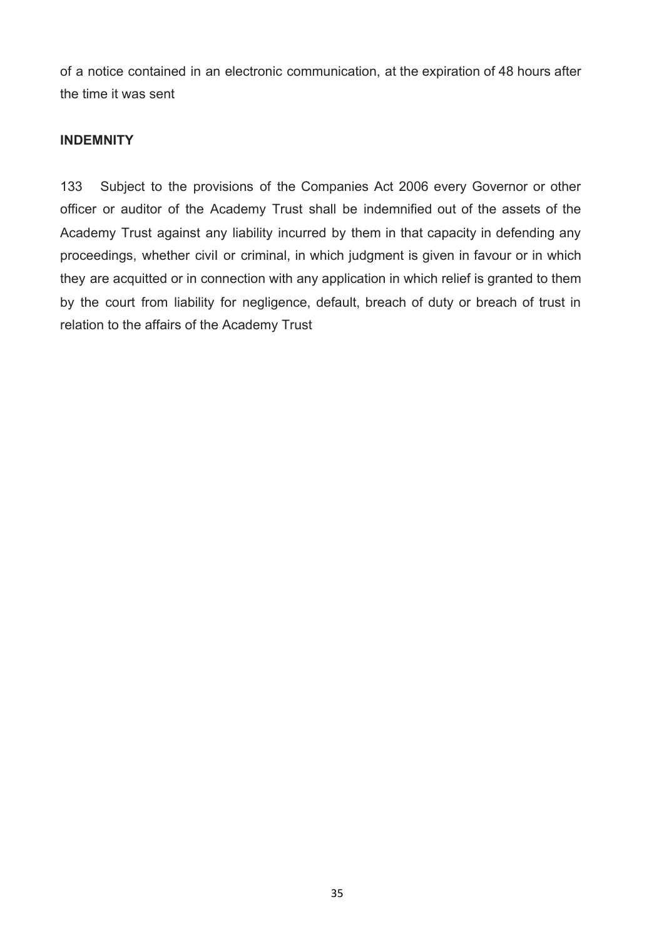of a notice contained in an electronic communication, at the expiration of 48 hours after the time it was sent

## **INDEMNITY**

133 Subject to the provisions of the Companies Act 2006 every Governor or other officer or auditor of the Academy Trust shall be indemnified out of the assets of the Academy Trust against any liability incurred by them in that capacity in defending any proceedings, whether civiI or criminal, in which judgment is given in favour or in which they are acquitted or in connection with any application in which relief is granted to them by the court from liability for negligence, default, breach of duty or breach of trust in relation to the affairs of the Academy Trust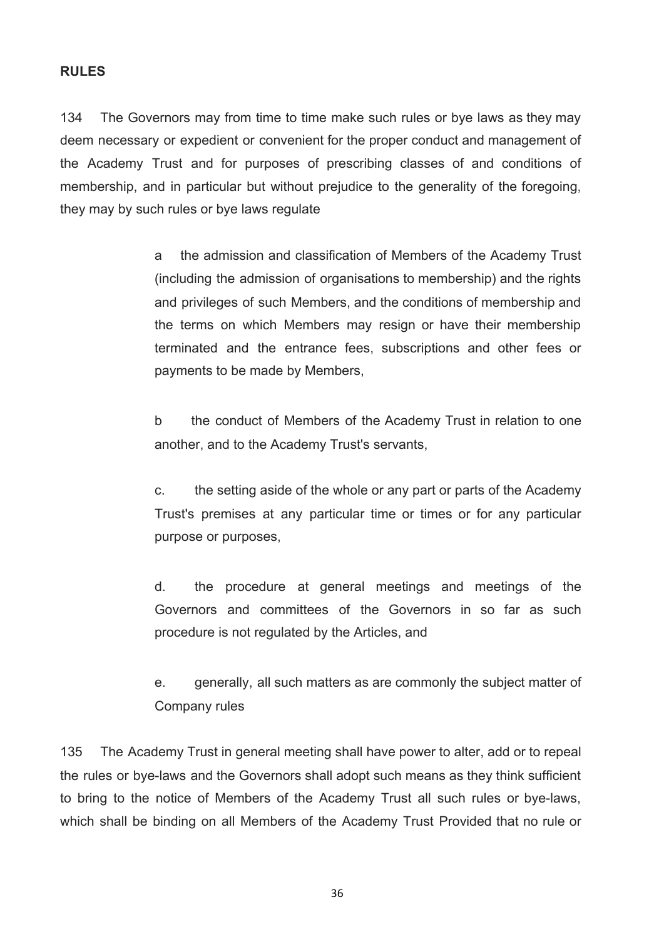## **RULES**

134 The Governors may from time to time make such rules or bye laws as they may deem necessary or expedient or convenient for the proper conduct and management of the Academy Trust and for purposes of prescribing classes of and conditions of membership, and in particular but without prejudice to the generality of the foregoing, they may by such rules or bye laws regulate

> a the admission and classification of Members of the Academy Trust (including the admission of organisations to membership) and the rights and privileges of such Members, and the conditions of membership and the terms on which Members may resign or have their membership terminated and the entrance fees, subscriptions and other fees or payments to be made by Members,

> b the conduct of Members of the Academy Trust in relation to one another, and to the Academy Trust's servants,

> c. the setting aside of the whole or any part or parts of the Academy Trust's premises at any particular time or times or for any particular purpose or purposes,

> d. the procedure at general meetings and meetings of the Governors and committees of the Governors in so far as such procedure is not regulated by the Articles, and

> e. generally, all such matters as are commonly the subject matter of Company rules

135 The Academy Trust in general meeting shall have power to alter, add or to repeal the rules or bye-laws and the Governors shall adopt such means as they think sufficient to bring to the notice of Members of the Academy Trust all such rules or bye-laws, which shall be binding on all Members of the Academy Trust Provided that no rule or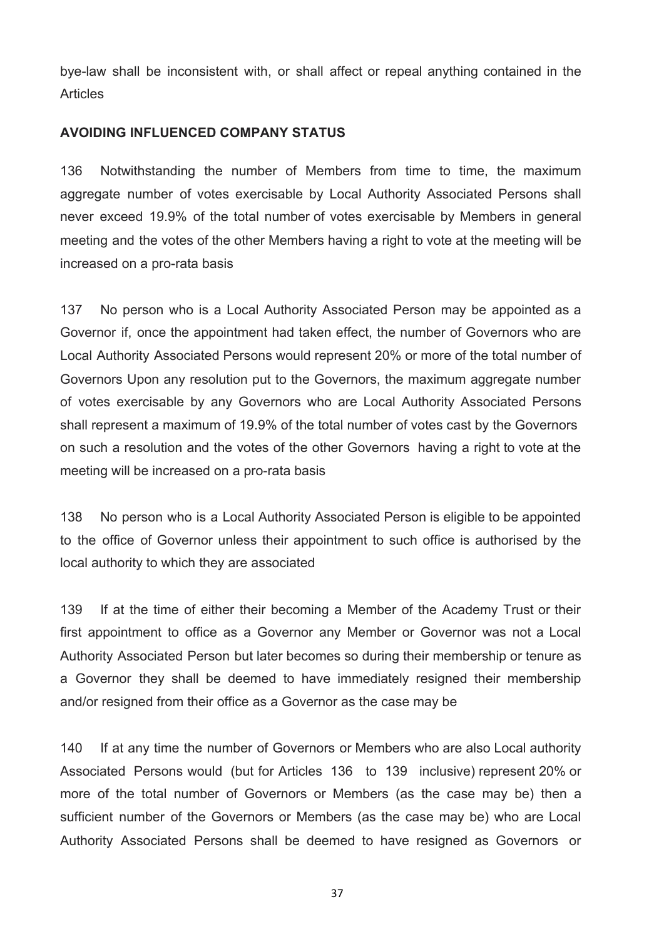bye-law shall be inconsistent with, or shall affect or repeal anything contained in the Articles

## **AVOIDING INFLUENCED COMPANY STATUS**

136 Notwithstanding the number of Members from time to time, the maximum aggregate number of votes exercisable by Local Authority Associated Persons shall never exceed 19.9% of the total number of votes exercisable by Members in general meeting and the votes of the other Members having a right to vote at the meeting will be increased on a pro-rata basis

137 No person who is a Local Authority Associated Person may be appointed as a Governor if, once the appointment had taken effect, the number of Governors who are Local Authority Associated Persons would represent 20% or more of the total number of Governors Upon any resolution put to the Governors, the maximum aggregate number of votes exercisable by any Governors who are Local Authority Associated Persons shall represent a maximum of 19.9% of the total number of votes cast by the Governors on such a resolution and the votes of the other Governors having a right to vote at the meeting will be increased on a pro-rata basis

138 No person who is a Local Authority Associated Person is eligible to be appointed to the office of Governor unless their appointment to such office is authorised by the local authority to which they are associated

139 If at the time of either their becoming a Member of the Academy Trust or their first appointment to office as a Governor any Member or Governor was not a Local Authority Associated Person but later becomes so during their membership or tenure as a Governor they shall be deemed to have immediately resigned their membership and/or resigned from their office as a Governor as the case may be

140 If at any time the number of Governors or Members who are also Local authority Associated Persons would (but for Articles 136 to 139 inclusive) represent 20% or more of the total number of Governors or Members (as the case may be) then a sufficient number of the Governors or Members (as the case may be) who are Local Authority Associated Persons shall be deemed to have resigned as Governors or